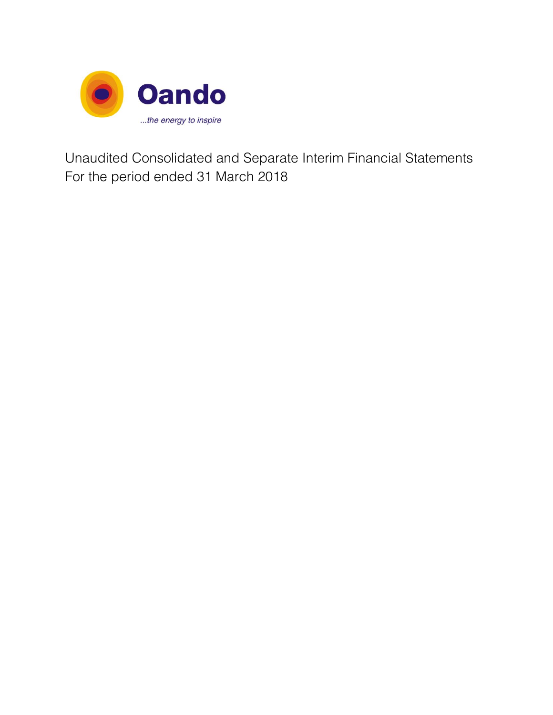

Unaudited Consolidated and Separate Interim Financial Statements For the period ended 31 March 2018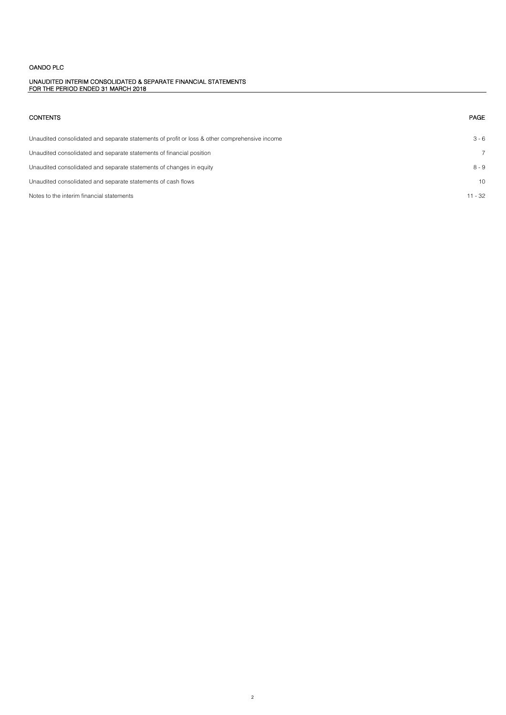# OANDO PLC

#### UNAUDITED INTERIM CONSOLIDATED & SEPARATE FINANCIAL STATEMENTS FOR THE PERIOD ENDED 31 MARCH 2018

| <b>CONTENTS</b>                                                                               | <b>PAGE</b>    |
|-----------------------------------------------------------------------------------------------|----------------|
| Unaudited consolidated and separate statements of profit or loss & other comprehensive income | $3 - 6$        |
| Unaudited consolidated and separate statements of financial position                          | $\overline{7}$ |
| Unaudited consolidated and separate statements of changes in equity                           | $8 - 9$        |
| Unaudited consolidated and separate statements of cash flows                                  | 10             |
| Notes to the interim financial statements                                                     | $11 - 32$      |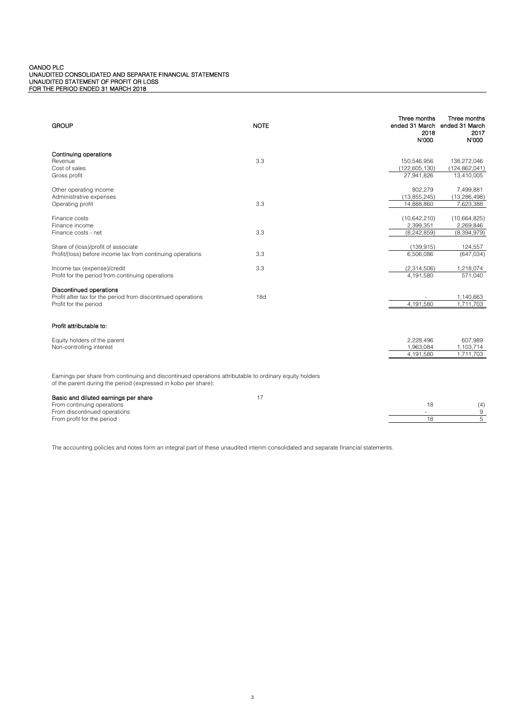| <b>GROUP</b>                                                                                                                                                             | <b>NOTE</b> | Three months<br>2018<br>N'000 | Three months<br>ended 31 March ended 31 March<br>2017<br>N'000 |
|--------------------------------------------------------------------------------------------------------------------------------------------------------------------------|-------------|-------------------------------|----------------------------------------------------------------|
| Continuing operations                                                                                                                                                    |             |                               |                                                                |
| Revenue                                                                                                                                                                  | 3.3         | 150,546,956                   | 138,272,046                                                    |
| Cost of sales                                                                                                                                                            |             | (122, 605, 130)               | (124, 862, 041)                                                |
| Gross profit                                                                                                                                                             |             | 27,941,826                    | 13,410,005                                                     |
| Other operating income                                                                                                                                                   |             | 802,279                       | 7,499,881                                                      |
| Administrative expenses                                                                                                                                                  |             | (13,855,245)                  | (13, 286, 498)                                                 |
| Operating profit                                                                                                                                                         | 3.3         | 14,888,860                    | 7,623,388                                                      |
| Finance costs                                                                                                                                                            |             | (10, 642, 210)                | (10,664,825)                                                   |
| Finance income                                                                                                                                                           |             | 2,399,351                     | 2,269,846                                                      |
| Finance costs - net                                                                                                                                                      | 3.3         | (8, 242, 859)                 | (8, 394, 979)                                                  |
| Share of (loss)/profit of associate                                                                                                                                      |             | (139, 915)                    | 124,557                                                        |
| Profit/(loss) before income tax from continuing operations                                                                                                               | 3.3         | 6.506.086                     | (647, 034)                                                     |
| Income tax (expense)/credit                                                                                                                                              | 3.3         | (2,314,506)                   | 1,218,074                                                      |
| Profit for the period from continuing operations                                                                                                                         |             | 4,191,580                     | 571,040                                                        |
| <b>Discontinued operations</b>                                                                                                                                           |             |                               |                                                                |
| Profit after tax for the period from discontinued operations                                                                                                             | 18d         |                               | 1,140,663                                                      |
| Profit for the period                                                                                                                                                    |             | 4,191,580                     | 1,711,703                                                      |
| Profit attributable to:                                                                                                                                                  |             |                               |                                                                |
| Equity holders of the parent                                                                                                                                             |             | 2,228,496                     | 607,989                                                        |
| Non-controlling interest                                                                                                                                                 |             | 1,963,084                     | 1,103,714                                                      |
|                                                                                                                                                                          |             | 4,191,580                     | 1,711,703                                                      |
| Earnings per share from continuing and discontinued operations attributable to ordinary equity holders<br>of the parent during the period (expressed in kobo per share): |             |                               |                                                                |
| Basic and diluted earnings per share                                                                                                                                     | 17          |                               |                                                                |
| From continuing operations                                                                                                                                               |             | 18                            | (4)                                                            |
| From discontinued operations                                                                                                                                             |             | $\sim$                        | 9                                                              |
| From profit for the period                                                                                                                                               |             | 18                            | 5                                                              |
|                                                                                                                                                                          |             |                               |                                                                |

The accounting policies and notes form an integral part of these unaudited interim consolidated and separate financial statements.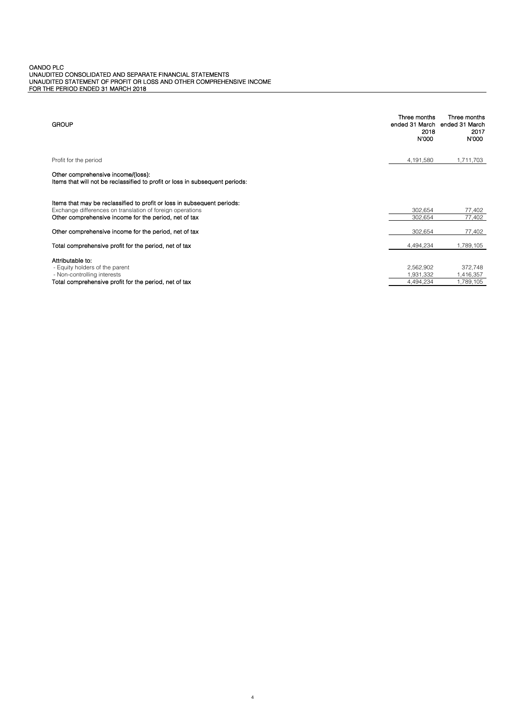| <b>GROUP</b>                                                                                                                                                                                  | Three months<br>ended 31 March<br>2018<br>N'000 | Three months<br>ended 31 March<br>2017<br>N'000 |
|-----------------------------------------------------------------------------------------------------------------------------------------------------------------------------------------------|-------------------------------------------------|-------------------------------------------------|
| Profit for the period                                                                                                                                                                         | 4,191,580                                       | 1,711,703                                       |
| Other comprehensive income/(loss):<br>Items that will not be reclassified to profit or loss in subsequent periods:                                                                            |                                                 |                                                 |
| Items that may be reclassified to profit or loss in subsequent periods:<br>Exchange differences on translation of foreign operations<br>Other comprehensive income for the period, net of tax | 302.654<br>302.654                              | 77,402<br>77,402                                |
| Other comprehensive income for the period, net of tax                                                                                                                                         | 302,654                                         | 77,402                                          |
| Total comprehensive profit for the period, net of tax                                                                                                                                         | 4,494,234                                       | 1,789,105                                       |
| Attributable to:<br>- Equity holders of the parent<br>- Non-controlling interests<br>Total comprehensive profit for the period, net of tax                                                    | 2,562,902<br>1.931.332<br>4,494,234             | 372,748<br>1.416.357<br>1,789,105               |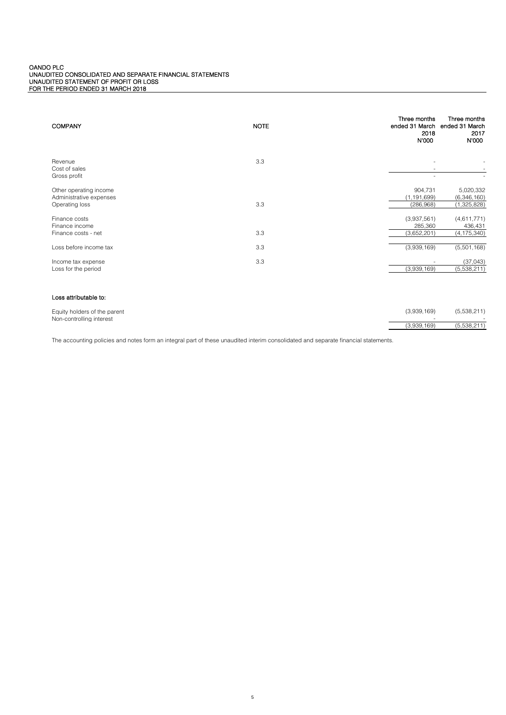| <b>COMPANY</b>                                                      | <b>NOTE</b> | Three months<br>Three months<br>ended 31 March<br>ended 31 March<br>2018<br>2017<br>N'000<br>N'000 |        |
|---------------------------------------------------------------------|-------------|----------------------------------------------------------------------------------------------------|--------|
| Revenue<br>Cost of sales<br>Gross profit                            | 3.3         |                                                                                                    | $\sim$ |
| Other operating income<br>Administrative expenses<br>Operating loss | 3.3         | 904,731<br>5,020,332<br>(1, 191, 699)<br>(6,346,160)<br>(286,968)<br>(1,325,828)                   |        |
| Finance costs<br>Finance income<br>Finance costs - net              | 3.3         | (3,937,561)<br>(4,611,771)<br>436,431<br>285,360<br>(4, 175, 340)<br>(3,652,201)                   |        |
| Loss before income tax                                              | 3.3         | (5,501,168)<br>(3,939,169)                                                                         |        |
| Income tax expense<br>Loss for the period                           | 3.3         | (37,043)<br>(3,939,169)<br>(5,538,211)                                                             |        |

# Loss attributable to:

| Equity holders of the parent | (3,939,169) | (5,538,211) |
|------------------------------|-------------|-------------|
| Non-controlling interest     |             |             |
|                              | (3,939,169) | (5,538,211) |

The accounting policies and notes form an integral part of these unaudited interim consolidated and separate financial statements.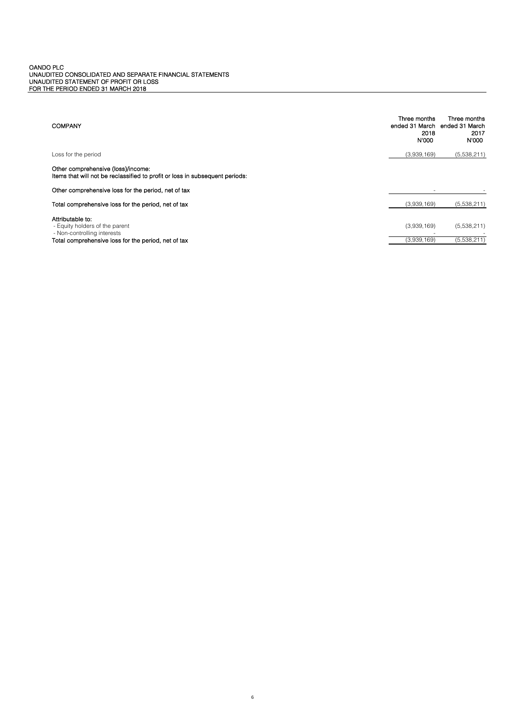| <b>COMPANY</b>                                                                                                     | Three months<br>2018<br>N'000 | Three months<br>ended 31 March ended 31 March<br>2017<br>N'000 |
|--------------------------------------------------------------------------------------------------------------------|-------------------------------|----------------------------------------------------------------|
| Loss for the period                                                                                                | (3,939,169)                   | (5,538,211)                                                    |
| Other comprehensive (loss)/income:<br>Items that will not be reclassified to profit or loss in subsequent periods: |                               |                                                                |
| Other comprehensive loss for the period, net of tax                                                                |                               |                                                                |
| Total comprehensive loss for the period, net of tax                                                                | (3,939,169)                   | (5,538,211)                                                    |
| Attributable to:<br>- Equity holders of the parent<br>- Non-controlling interests                                  | (3,939,169)                   | (5,538,211)                                                    |
| Total comprehensive loss for the period, net of tax                                                                | (3,939,169)                   | (5,538,211)                                                    |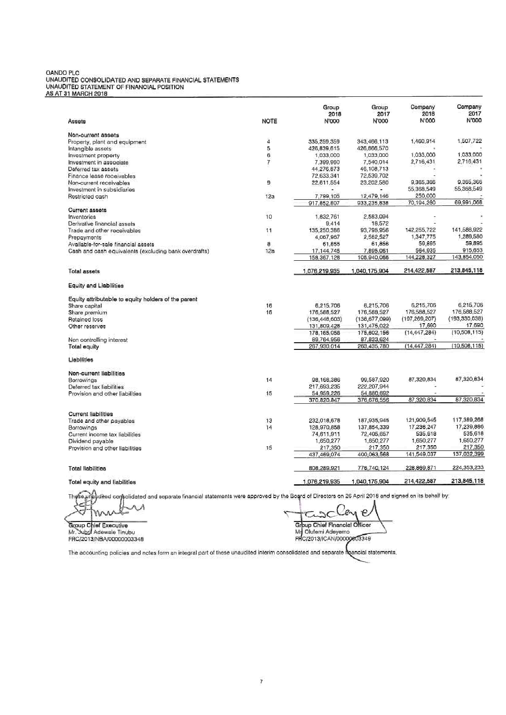# OANDO PLC<br>UNAUDITED CONSOLIDATED AND SEPARATE FINANCIAL STATEMENTS<br>UNAUDITED STATEMENT OF FINANCIAL POSITION<br>AS AT 31 MARCH 2018

| Assets                                                | <b>NOTE</b>    | Group<br>2018<br><b>N'000</b> | Group<br>2017<br>N'000 | Company<br>2018<br>N'000 | Company<br>2017<br>N'000 |
|-------------------------------------------------------|----------------|-------------------------------|------------------------|--------------------------|--------------------------|
| Non-ourrent assets                                    |                |                               |                        |                          |                          |
| Property, plant and equipment                         | $\overline{4}$ | 335,259,359                   | 343,466,113            | 1,460,914                | 1,507,722                |
| Intangible assets                                     | 5              | 426,839,615                   | 426,866,570            |                          |                          |
| Investment property                                   | 6              | 1,033,000                     | 1,033,000              | 1,033,000                | 1,033,000                |
|                                                       | $\overline{7}$ | 7,399,960                     | 7,540,014              | 2,716,431                | 2,716,431                |
| Investment in associate                               |                | 44.276.873                    | 46, 108, 713           |                          |                          |
| Deferred tax assets                                   |                |                               |                        |                          |                          |
| Finance lease receivables                             |                | 72,633,341                    | 72,539,702             |                          | 9,365,366                |
| Non-current receivables                               | g              | 22,611,554                    | 23,202,580             | 9,365,366                |                          |
| Investment in subsidiaries                            |                |                               |                        | 55,368,549               | 55,368,549               |
| Restricted cash                                       | 12a            | 7,799,105                     | 12,479,146             | 250,000                  |                          |
|                                                       |                | 917,852,807                   | 933,235,838            | 70.194.260               | 69,991,068               |
| <b>Current assets</b>                                 |                |                               |                        |                          |                          |
| Inventories                                           | 10             | 1,832,761                     | 2,583,094              |                          |                          |
| Derivative financial assets                           |                | 9.414                         | 18,572                 |                          |                          |
| Trade and other receivables                           | 11             | 135,250,386                   | 93.798.956             | 142,255,722              | 141,588,922              |
| Prepayments                                           |                | 4,067,967                     | 2,582,527              | 1,347,775                | 1,289,580                |
| Available-for-sale financial assets                   | 8              | 61,855                        | 61,856                 | 59,895                   | 59,895                   |
| Cash and cash equivalents (excluding bank overdrafts) | 12a            | 17.144.745                    | 7,895,061              | 564,935                  | 915,653                  |
|                                                       |                | 158,367,128                   | 106,940,066            | 144,228,327              | 143,854,050              |
|                                                       |                |                               |                        | 214,422,587              | 213,845,118              |
| <b>Total assets</b>                                   |                | 1,076,219,935                 | 1,040,175,904          |                          |                          |
| <b>Equity and Liabilities</b>                         |                |                               |                        |                          |                          |
| Equity attributable to equity holders of the parent   |                |                               |                        |                          |                          |
| Share capital                                         | 16             | 6.215.706                     | 6,215,706              | 6,215,706                | 6,215,706                |
| Share premium                                         | 16             | 176,588,527                   | 176,588,527            | 176,588,527              | 176,588,527              |
| Retained loss                                         |                | (136, 448, 603)               | (138, 677, 099)        | (197, 269, 207)          | (193,330,038)            |
| Other reserves                                        |                | 131,809,428                   | 131,475,022            | 17,690                   | 17,690                   |
|                                                       |                | 178, 165, 058                 | 175,602,156            | (14, 447, 284)           | (10, 508, 115)           |
| Non controlling interest                              |                | 89,764,956                    | 87,833,624             |                          |                          |
| <b>Total equity</b>                                   |                | 267,930,014                   | 263,435,780            | (14, 447, 284)           | (10.508.115)             |
| Liabilities                                           |                |                               |                        |                          |                          |
| Non-current liabilities                               |                |                               |                        |                          |                          |
| Borrowings                                            | 14             | 98,168,386                    | 99,587,920             | 87,320,834               | 87,320,834               |
| Deferred tax liabilities                              |                | 217,693,235                   | 222,207,944            |                          |                          |
| Provision and other liabilities                       | 15             | 54,959,226                    | 54,880,692             |                          |                          |
|                                                       |                | 370,820,847                   | 376,676,556            | 87,320,834               | 87,320,834               |
| <b>Current liabilities</b>                            |                |                               |                        |                          |                          |
| Trade and other payables                              | 13             | 232,018,678                   | 187,935,945            | 121,909,545              | 117,389,268              |
| Borrowings                                            | 14             | 128,970,858                   | 137,854,339            | 17,236,247               | 17,239,886               |
| Current income tax liabilities                        |                | 74,611,911                    | 72,405,657             | 535,618                  | 535,618                  |
| Dividend payable                                      |                | 1,650,277                     | 1,650.277              | 1,650,277                | 1,650,277                |
| Provision and other liabilities                       | 15             | 217,350                       | 217,350                | 217,350                  | 217,350                  |
|                                                       |                | 437,469,074                   | 400,063,568            | 141.549.037              | 137,032,399              |
|                                                       |                |                               |                        |                          |                          |
| <b>Total liabilities</b>                              |                | 808,289,921                   | 776,740,124            | 228,869,871              | 224,353,233              |
| Total equity and liabilities                          |                | 1,076,219,935                 | 1,040,175,904          | 214,422,587              | 213,845,118              |

of europeying the compolidated and separate financial statements were approved by the Board of Directors on 26 April 2018 and signed on its behalf by:

Α ٧V

Group Chief Executive<br>Mr. Jubril Adewale Tinubu<br>FRC/2013/NBA/00000003348

Le  $\epsilon$ 2C C Group Chief Financial Officer

Mr Olufemi Adeyemo<br>FRC/2013/ICAN/000000003349

The accounting policies and notes form an integral part of these unaudited interim consolidated and separate noancial statements.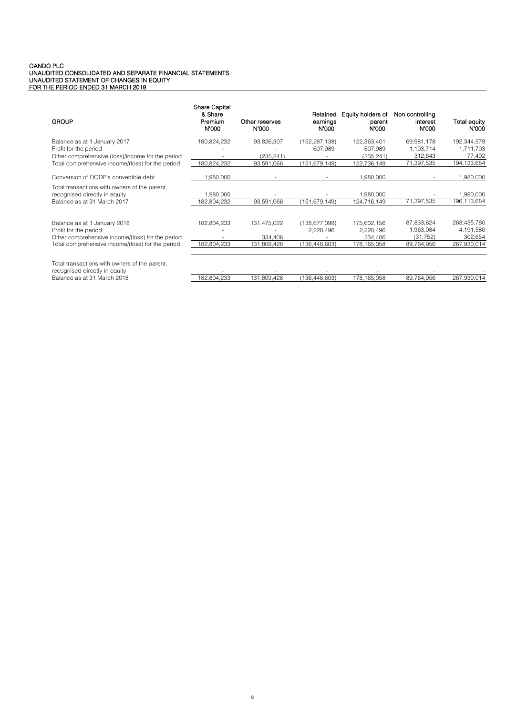#### OANDO PLC UNAUDITED CONSOLIDATED AND SEPARATE FINANCIAL STATEMENTS UNAUDITED STATEMENT OF CHANGES IN EQUITY FOR THE PERIOD ENDED 31 MARCH 2018

| <b>GROUP</b>                                                                                                  | <b>Share Capital</b><br>& Share<br>Premium<br>N'000 | Other reserves<br>N'000 | Retained<br>earnings<br>N'000 | Equity holders of<br>parent<br>N'000 | Non controlling<br>interest<br>N'000 | Total equity<br>N'000 |
|---------------------------------------------------------------------------------------------------------------|-----------------------------------------------------|-------------------------|-------------------------------|--------------------------------------|--------------------------------------|-----------------------|
| Balance as at 1 January 2017                                                                                  | 180,824,232                                         | 93,826,307              | (152, 287, 138)               | 122,363,401                          | 69,981,178                           | 192,344,579           |
| Profit for the period                                                                                         |                                                     |                         | 607,989                       | 607,989                              | 1,103,714                            | 1,711,703             |
| Other comprehensive (loss)/income for the period                                                              | ۰                                                   | (235, 241)              |                               | (235, 241)                           | 312,643                              | 77,402                |
| Total comprehensive income/(loss) for the period                                                              | 180.824.232                                         | 93,591,066              | (151, 679, 149)               | 122,736,149                          | 71,397,535                           | 194, 133, 684         |
| Conversion of OODP's convertible debt                                                                         | ,980,000                                            |                         |                               | 1,980,000                            |                                      | 1,980,000             |
| Total transactions with owners of the parent,                                                                 |                                                     |                         |                               |                                      |                                      |                       |
| recognised directly in equity                                                                                 | .980.000                                            |                         |                               | 1,980,000                            |                                      | 1.980.000             |
| Balance as at 31 March 2017                                                                                   | 182.804.232                                         | 93,591,066              | (151,679,149)                 | 124,716,149                          | 71,397,535                           | 196,113,684           |
| Balance as at 1 January 2018                                                                                  | 182,804,233                                         | 131,475,022             | (138,677,099)                 | 175,602,156                          | 87,833,624                           | 263,435,780           |
| Profit for the period                                                                                         |                                                     |                         | 2,228,496                     | 2,228,496                            | 1,963,084                            | 4,191,580             |
| Other comprehensive income/(loss) for the period                                                              |                                                     | 334,406                 |                               | 334,406                              | (31, 752)                            | 302,654               |
| Total comprehensive income/(loss) for the period                                                              | 182,804,233                                         | 131,809,428             | (136,448,603)                 | 178,165,058                          | 89,764,956                           | 267,930,014           |
| Total transactions with owners of the parent,<br>recognised directly in equity<br>Balance as at 31 March 2018 | 182,804,233                                         | 131,809,428             | (136, 448, 603)               | 178,165,058                          | 89,764,956                           | 267,930,014           |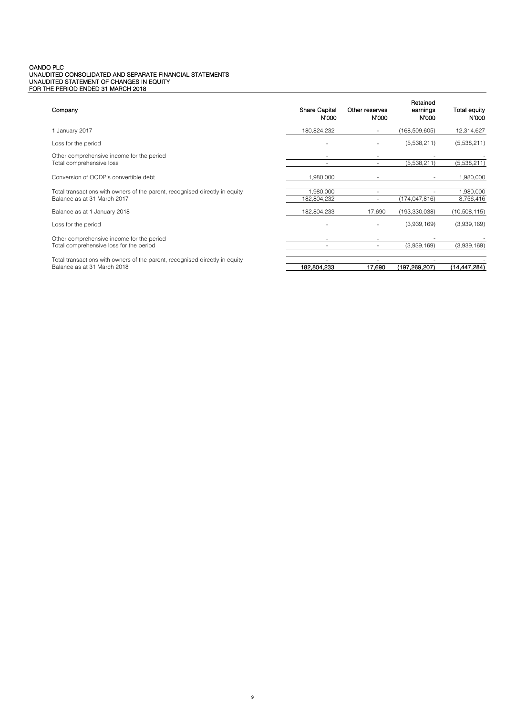#### OANDO PLC UNAUDITED CONSOLIDATED AND SEPARATE FINANCIAL STATEMENTS UNAUDITED STATEMENT OF CHANGES IN EQUITY FOR THE PERIOD ENDED 31 MARCH 2018

| Company                                                                                                    | <b>Share Capital</b><br>N'000 | Other reserves<br>N'000 | Retained<br>earnings<br>N'000 | Total equity<br>N'000 |
|------------------------------------------------------------------------------------------------------------|-------------------------------|-------------------------|-------------------------------|-----------------------|
| 1 January 2017                                                                                             | 180,824,232                   |                         | (168, 509, 605)               | 12,314,627            |
| Loss for the period                                                                                        | $\overline{\phantom{a}}$      |                         | (5,538,211)                   | (5,538,211)           |
| Other comprehensive income for the period<br>Total comprehensive loss                                      |                               | ٠                       | (5,538,211)                   | (5,538,211)           |
| Conversion of OODP's convertible debt                                                                      | 1,980,000                     |                         |                               | 1,980,000             |
| Total transactions with owners of the parent, recognised directly in equity<br>Balance as at 31 March 2017 | 000,080,1<br>182,804,232      | ٠                       | (174, 047, 816)               | 000,080,<br>8,756,416 |
| Balance as at 1 January 2018                                                                               | 182,804,233                   | 17,690                  | (193, 330, 038)               | (10,508,115)          |
| Loss for the period                                                                                        |                               |                         | (3,939,169)                   | (3,939,169)           |
| Other comprehensive income for the period                                                                  |                               |                         |                               |                       |
| Total comprehensive loss for the period                                                                    |                               |                         | (3,939,169)                   | (3,939,169)           |
| Total transactions with owners of the parent, recognised directly in equity                                |                               |                         |                               |                       |
| Balance as at 31 March 2018                                                                                | 182.804.233                   | 17,690                  | (197,269,207)                 | (14, 447, 284)        |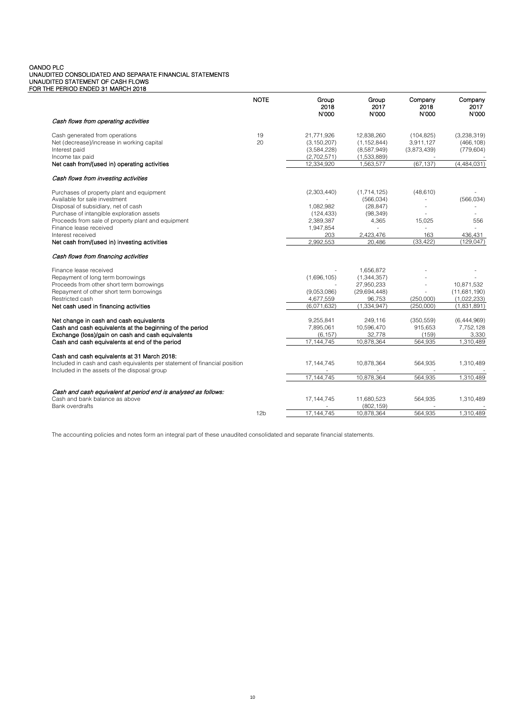#### OANDO PLC UNAUDITED CONSOLIDATED AND SEPARATE FINANCIAL STATEMENTS UNAUDITED STATEMENT OF CASH FLOWS FOR THE PERIOD ENDED 31 MARCH 2018

|                                                                                                                                                                                                            | <b>NOTE</b>     | Group<br>2018<br>N'000                             | Group<br>2017<br>N'000                        | Company<br>2018<br>N'000                  | Company<br>2017<br>N'000                       |
|------------------------------------------------------------------------------------------------------------------------------------------------------------------------------------------------------------|-----------------|----------------------------------------------------|-----------------------------------------------|-------------------------------------------|------------------------------------------------|
| Cash flows from operating activities                                                                                                                                                                       |                 |                                                    |                                               |                                           |                                                |
| Cash generated from operations<br>Net (decrease)/increase in working capital<br>Interest paid                                                                                                              | 19<br>20        | 21,771,926<br>(3, 150, 207)<br>(3,584,228)         | 12,838,260<br>(1, 152, 844)<br>(8,587,949)    | (104, 825)<br>3,911,127<br>(3,873,439)    | (3,238,319)<br>(466, 108)<br>(779, 604)        |
| Income tax paid<br>Net cash from/(used in) operating activities                                                                                                                                            |                 | (2,702,571)<br>12,334,920                          | (1,533,889)<br>1,563,577                      | (67, 137)                                 | (4,484,031)                                    |
| Cash flows from investing activities                                                                                                                                                                       |                 |                                                    |                                               |                                           |                                                |
| Purchases of property plant and equipment<br>Available for sale investment<br>Disposal of subsidiary, net of cash                                                                                          |                 | (2,303,440)<br>1,082,982                           | (1,714,125)<br>(566, 034)<br>(28, 847)        | (48, 610)                                 | (566, 034)                                     |
| Purchase of intangible exploration assets<br>Proceeds from sale of property plant and equipment                                                                                                            |                 | (124, 433)<br>2,389,387                            | (98, 349)<br>4,365                            | 15.025                                    | 556                                            |
| Finance lease received<br>Interest received<br>Net cash from/(used in) investing activities                                                                                                                |                 | 1,947,854<br>203<br>2,992,553                      | 2,423,476<br>20,486                           | ä,<br>163<br>(33, 422)                    | 436.431<br>(129, 047)                          |
| Cash flows from financing activities                                                                                                                                                                       |                 |                                                    |                                               |                                           |                                                |
| Finance lease received                                                                                                                                                                                     |                 |                                                    | 1,656,872                                     |                                           |                                                |
| Repayment of long term borrowings<br>Proceeds from other short term borrowings                                                                                                                             |                 | (1,696,105)                                        | (1,344,357)<br>27,950,233                     |                                           | 10,871,532                                     |
| Repayment of other short term borrowings<br>Restricted cash                                                                                                                                                |                 | (9,053,086)<br>4,677,559                           | (29, 694, 448)<br>96,753                      | ÷.<br>(250,000)                           | (11,681,190)<br>(1,022,233)                    |
| Net cash used in financing activities                                                                                                                                                                      |                 | (6,071,632)                                        | (1, 334, 947)                                 | (250,000)                                 | (1,831,891)                                    |
| Net change in cash and cash equivalents<br>Cash and cash equivalents at the beginning of the period<br>Exchange (loss)/gain on cash and cash equivalents<br>Cash and cash equivalents at end of the period |                 | 9,255,841<br>7,895,061<br>(6, 157)<br>17, 144, 745 | 249,116<br>10,596,470<br>32,778<br>10,878,364 | (350, 559)<br>915,653<br>(159)<br>564,935 | (6,444,969)<br>7,752,128<br>3,330<br>1,310,489 |
|                                                                                                                                                                                                            |                 |                                                    |                                               |                                           |                                                |
| Cash and cash equivalents at 31 March 2018:<br>Included in cash and cash equivalents per statement of financial position<br>Included in the assets of the disposal group                                   |                 | 17, 144, 745<br>$\overline{\phantom{a}}$           | 10,878,364                                    | 564,935                                   | 1,310,489                                      |
|                                                                                                                                                                                                            |                 | 17.144.745                                         | 10,878,364                                    | 564.935                                   | 1,310,489                                      |
| Cash and cash equivalent at period end is analysed as follows:<br>Cash and bank balance as above<br><b>Bank overdrafts</b>                                                                                 |                 | 17, 144, 745                                       | 11,680,523<br>(802, 159)                      | 564,935                                   | 1,310,489                                      |
|                                                                                                                                                                                                            | 12 <sub>b</sub> | 17, 144, 745                                       | 10,878,364                                    | 564,935                                   | 1,310,489                                      |

The accounting policies and notes form an integral part of these unaudited consolidated and separate financial statements.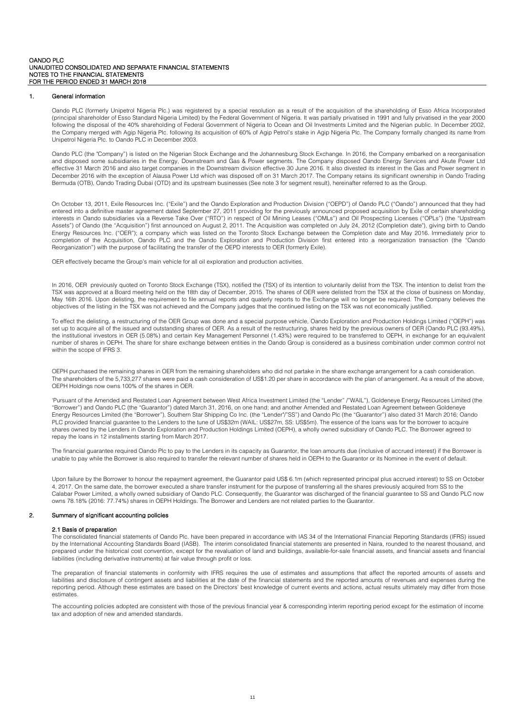#### 1. General information

Oando PLC (formerly Unipetrol Nigeria Plc.) was registered by a special resolution as a result of the acquisition of the shareholding of Esso Africa Incorporated (principal shareholder of Esso Standard Nigeria Limited) by the Federal Government of Nigeria. It was partially privatised in 1991 and fully privatised in the year 2000 following the disposal of the 40% shareholding of Federal Government of Nigeria to Ocean and Oil Investments Limited and the Nigerian public. In December 2002, the Company merged with Agip Nigeria Plc. following its acquisition of 60% of Agip Petrol's stake in Agip Nigeria Plc. The Company formally changed its name from Unipetrol Nigeria Plc. to Oando PLC in December 2003.

Oando PLC (the "Company') is listed on the Nigerian Stock Exchange and the Johannesburg Stock Exchange. In 2016, the Company embarked on a reorganisation and disposed some subsidiaries in the Energy, Downstream and Gas & Power segments. The Company disposed Oando Energy Services and Akute Power Ltd effective 31 March 2016 and also target companies in the Downstream division effective 30 June 2016. It also divested its interest in the Gas and Power segment in December 2016 with the exception of Alausa Power Ltd which was disposed off on 31 March 2017. The Company retains its significant ownership in Oando Trading Bermuda (OTB), Oando Trading Dubai (OTD) and its upstream businesses (See note 3 for segment result), hereinafter referred to as the Group.

On October 13, 2011, Exile Resources Inc. ('Exile') and the Oando Exploration and Production Division ('OEPD') of Oando PLC ('Oando') announced that they had entered into a definitive master agreement dated September 27, 2011 providing for the previously announced proposed acquisition by Exile of certain shareholding interests in Oando subsidiaries via a Reverse Take Over ('RTO') in respect of Oil Mining Leases ('OMLs') and Oil Prospecting Licenses ('OPLs') (the 'Upstream Assets') of Oando (the 'Acquisition') first announced on August 2, 2011. The Acquisition was completed on July 24, 2012 (Completion date"), giving birth to Oando Energy Resources Inc. ('OER'); a company which was listed on the Toronto Stock Exchange between the Completion date and May 2016. Immediately prior to completion of the Acquisition, Oando PLC and the Oando Exploration and Production Division first entered into a reorganization transaction (the 'Oando Reorganization') with the purpose of facilitating the transfer of the OEPD interests to OER (formerly Exile).

OER effectively became the Group's main vehicle for all oil exploration and production activities.

In 2016, OER previously quoted on Toronto Stock Exchange (TSX), notified the (TSX) of its intention to voluntarily delist from the TSX. The intention to delist from the TSX was approved at a Board meeting held on the 18th day of December, 2015. The shares of OER were delisted from the TSX at the close of business on Monday, May 16th 2016. Upon delisting, the requirement to file annual reports and quaterly reports to the Exchange will no longer be required. The Company believes the objectives of the listing in the TSX was not achieved and the Company judges that the continued listing on the TSX was not economically justified.

To effect the delisting, a restructuring of the OER Group was done and a special purpose vehicle, Oando Exploration and Production Holdings Limited ('OEPH') was set up to acquire all of the issued and outstanding shares of OER. As a result of the restructuring, shares held by the previous owners of OER (Oando PLC (93.49%), the institutional investors in OER (5.08%) and certain Key Management Personnel (1.43%) were required to be transferred to OEPH, in exchange for an equivalent number of shares in OEPH. The share for share exchange between entities in the Oando Group is considered as a business combination under common control not within the scope of IFRS 3.

OEPH purchased the remaining shares in OER from the remaining shareholders who did not partake in the share exchange arrangement for a cash consideration. The shareholders of the 5,733,277 shares were paid a cash consideration of US\$1.20 per share in accordance with the plan of arrangement. As a result of the above, OEPH Holdings now owns 100% of the shares in OER.

'Pursuant of the Amended and Restated Loan Agreement between West Africa Investment Limited (the 'Lender' /'WAIL'), Goldeneye Energy Resources Limited (the 'Borrower') and Oando PLC (the 'Guarantor') dated March 31, 2016, on one hand; and another Amended and Restated Loan Agreement between Goldeneye Energy Resources Limited (the 'Borrower'), Southern Star Shipping Co Inc. (the 'Lender"/'SS') and Oando Plc (the 'Guarantor') also dated 31 March 2016; Oando PLC provided financial guarantee to the Lenders to the tune of US\$32m (WAIL: US\$27m, SS: US\$5m). The essence of the loans was for the borrower to acquire shares owned by the Lenders in Oando Exploration and Production Holdings Limited (OEPH), a wholly owned subsidiary of Oando PLC. The Borrower agreed to repay the loans in 12 installments starting from March 2017.

The financial guarantee required Oando Plc to pay to the Lenders in its capacity as Guarantor, the loan amounts due (inclusive of accrued interest) if the Borrower is unable to pay while the Borrower is also required to transfer the relevant number of shares held in OEPH to the Guarantor or its Nominee in the event of default.

Upon failure by the Borrower to honour the repayment agreement, the Guarantor paid US\$ 6.1m (which represented principal plus accrued interest) to SS on October 4, 2017. On the same date, the borrower executed a share transfer instrument for the purpose of transferring all the shares previously acquired from SS to the Calabar Power Limited, a wholly owned subsidiary of Oando PLC. Consequently, the Guarantor was discharged of the financial guarantee to SS and Oando PLC now owns 78.18% (2016: 77.74%) shares in OEPH Holdings. The Borrower and Lenders are not related parties to the Guarantor.

# 2. Summary of significant accounting policies

#### 2.1 Basis of preparation

The consolidated financial statements of Oando Plc. have been prepared in accordance with IAS 34 of the International Financial Reporting Standards (IFRS) issued by the International Accounting Standards Board (IASB). The interim consolidated financial statements are presented in Naira, rounded to the nearest thousand, and prepared under the historical cost convention, except for the revaluation of land and buildings, available-for-sale financial assets, and financial assets and financial liabilities (including derivative instruments) at fair value through profit or loss.

The preparation of financial statements in conformity with IFRS requires the use of estimates and assumptions that affect the reported amounts of assets and liabilities and disclosure of contingent assets and liabilities at the date of the financial statements and the reported amounts of revenues and expenses during the reporting period. Although these estimates are based on the Directors' best knowledge of current events and actions, actual results ultimately may differ from those estimates.

The accounting policies adopted are consistent with those of the previous financial year & corresponding interim reporting period except for the estimation of income tax and adoption of new and amended standards.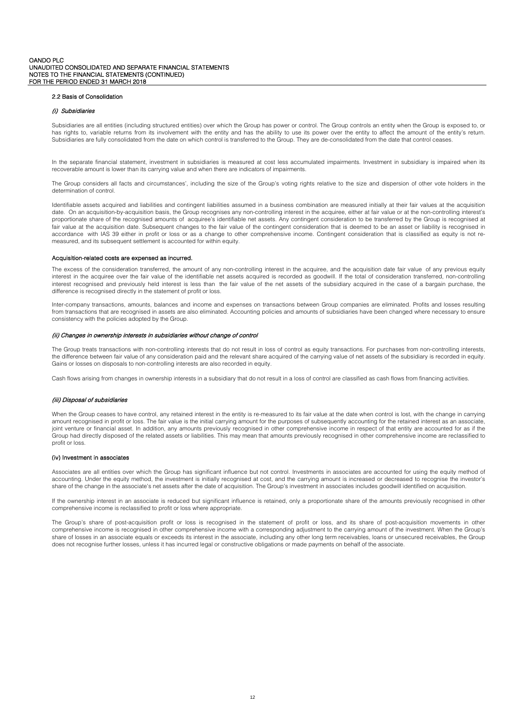# 2.2 Basis of Consolidation

## (i) Subsidiaries

Subsidiaries are all entities (including structured entities) over which the Group has power or control. The Group controls an entity when the Group is exposed to, or has rights to, variable returns from its involvement with the entity and has the ability to use its power over the entity to affect the amount of the entity's return. Subsidiaries are fully consolidated from the date on which control is transferred to the Group. They are de-consolidated from the date that control ceases.

In the separate financial statement, investment in subsidiaries is measured at cost less accumulated impairments. Investment in subsidiary is impaired when its recoverable amount is lower than its carrying value and when there are indicators of impairments.

The Group considers all facts and circumstances', including the size of the Group's voting rights relative to the size and dispersion of other vote holders in the determination of control.

Identifiable assets acquired and liabilities and contingent liabilities assumed in a business combination are measured initially at their fair values at the acquisition date. On an acquisition-by-acquisition basis, the Group recognises any non-controlling interest in the acquiree, either at fair value or at the non-controlling interest's proportionate share of the recognised amounts of acquiree's identifiable net assets. Any contingent consideration to be transferred by the Group is recognised at .<br>fair value at the acquisition date. Subsequent changes to the fair value of the contingent consideration that is deemed to be an asset or liability is recognised in accordance with IAS 39 either in profit or loss or as a change to other comprehensive income. Contingent consideration that is classified as equity is not remeasured, and its subsequent settlement is accounted for within equity.

#### Acquisition-related costs are expensed as incurred.

The excess of the consideration transferred, the amount of any non-controlling interest in the acquiree, and the acquisition date fair value of any previous equity interest in the acquiree over the fair value of the identifiable net assets acquired is recorded as goodwill. If the total of consideration transferred, non-controlling interest recognised and previously held interest is less than the fair value of the net assets of the subsidiary acquired in the case of a bargain purchase, the difference is recognised directly in the statement of profit or loss.

Inter-company transactions, amounts, balances and income and expenses on transactions between Group companies are eliminated. Profits and losses resulting from transactions that are recognised in assets are also eliminated. Accounting policies and amounts of subsidiaries have been changed where necessary to ensure consistency with the policies adopted by the Group.

#### (ii) Changes in ownership interests in subsidiaries without change of control

The Group treats transactions with non-controlling interests that do not result in loss of control as equity transactions. For purchases from non-controlling interests, the difference between fair value of any consideration paid and the relevant share acquired of the carrying value of net assets of the subsidiary is recorded in equity. Gains or losses on disposals to non-controlling interests are also recorded in equity.

Cash flows arising from changes in ownership interests in a subsidiary that do not result in a loss of control are classified as cash flows from financing activities.

#### (iii) Disposal of subsidiaries

When the Group ceases to have control, any retained interest in the entity is re-measured to its fair value at the date when control is lost, with the change in carrying amount recognised in profit or loss. The fair value is the initial carrying amount for the purposes of subsequently accounting for the retained interest as an associate, joint venture or financial asset. In addition, any amounts previously recognised in other comprehensive income in respect of that entity are accounted for as if the Group had directly disposed of the related assets or liabilities. This may mean that amounts previously recognised in other comprehensive income are reclassified to profit or loss.

#### (iv) Investment in associates

Associates are all entities over which the Group has significant influence but not control. Investments in associates are accounted for using the equity method of accounting. Under the equity method, the investment is initially recognised at cost, and the carrying amount is increased or decreased to recognise the investor's share of the change in the associate's net assets after the date of acquisition. The Group's investment in associates includes goodwill identified on acquisition.

If the ownership interest in an associate is reduced but significant influence is retained, only a proportionate share of the amounts previously recognised in other comprehensive income is reclassified to profit or loss where appropriate.

The Group's share of post-acquisition profit or loss is recognised in the statement of profit or loss, and its share of post-acquisition movements in other comprehensive income is recognised in other comprehensive income with a corresponding adjustment to the carrying amount of the investment. When the Group's share of losses in an associate equals or exceeds its interest in the associate, including any other long term receivables, loans or unsecured receivables, the Group does not recognise further losses, unless it has incurred legal or constructive obligations or made payments on behalf of the associate.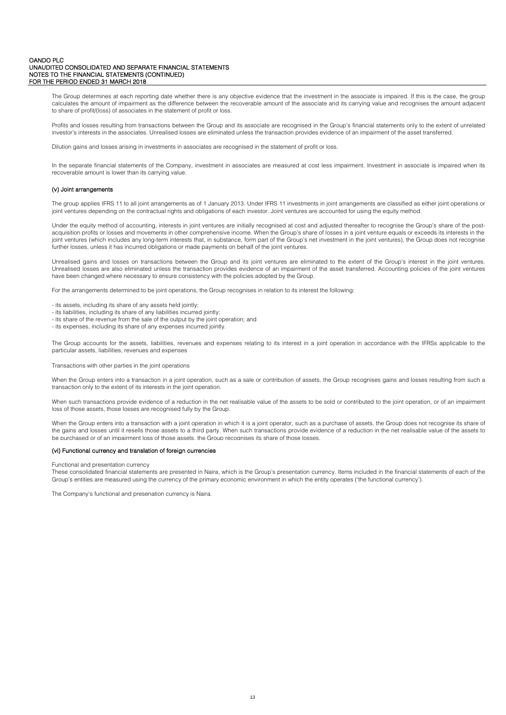The Group determines at each reporting date whether there is any objective evidence that the investment in the associate is impaired. If this is the case, the group calculates the amount of impairment as the difference between the recoverable amount of the associate and its carrying value and recognises the amount adjacent to share of profit/(loss) of associates in the statement of profit or loss.

Profits and losses resulting from transactions between the Group and its associate are recognised in the Group's financial statements only to the extent of unrelated investor's interests in the associates. Unrealised losses are eliminated unless the transaction provides evidence of an impairment of the asset transferred.

Dilution gains and losses arising in investments in associates are recognised in the statement of profit or loss.

In the separate financial statements of the Company, investment in associates are measured at cost less impairment. Investment in associate is impaired when its recoverable amount is lower than its carrying value.

#### (v) Joint arrangements

The group applies IFRS 11 to all joint arrangements as of 1 January 2013. Under IFRS 11 investments in joint arrangements are classified as either joint operations or joint ventures depending on the contractual rights and obligations of each investor. Joint ventures are accounted for using the equity method.

Under the equity method of accounting, interests in joint ventures are initially recognised at cost and adjusted thereafter to recognise the Group's share of the postacquisition profits or losses and movements in other comprehensive income. When the Group's share of losses in a joint venture equals or exceeds its interests in the joint ventures (which includes any long-term interests that, in substance, form part of the Group's net investment in the joint ventures), the Group does not recognise further losses, unless it has incurred obligations or made payments on behalf of the joint ventures.

Unrealised gains and losses on transactions between the Group and its joint ventures are eliminated to the extent of the Group's interest in the joint ventures. Unrealised losses are also eliminated unless the transaction provides evidence of an impairment of the asset transferred. Accounting policies of the joint ventures have been changed where necessary to ensure consistency with the policies adopted by the Group.

For the arrangements determined to be joint operations, the Group recognises in relation to its interest the following:

- its assets, including its share of any assets held jointly;
- its liabilities, including its share of any liabilities incurred jointly;
- its share of the revenue from the sale of the output by the joint operation; and
- its expenses, including its share of any expenses incurred jointly.

The Group accounts for the assets, liabilities, revenues and expenses relating to its interest in a joint operation in accordance with the IFRSs applicable to the particular assets, liabilities, revenues and expenses

Transactions with other parties in the joint operations

When the Group enters into a transaction in a joint operation, such as a sale or contribution of assets, the Group recognises gains and losses resulting from such a transaction only to the extent of its interests in the joint operation.

When such transactions provide evidence of a reduction in the net realisable value of the assets to be sold or contributed to the joint operation, or of an impairment loss of those assets, those losses are recognised fully by the Group

When the Group enters into a transaction with a joint operation in which it is a joint operator, such as a purchase of assets, the Group does not recognise its share of the gains and losses until it resells those assets to a third party. When such transactions provide evidence of a reduction in the net realisable value of the assets to be purchased or of an impairment loss of those assets, the Group recognises its share of those losses.

## (vi) Functional currency and translation of foreign currencies

Functional and presentation currency

These consolidated financial statements are presented in Naira, which is the Group's presentation currency. Items included in the financial statements of each of the Group's entities are measured using the currency of the primary economic environment in which the entity operates ('the functional currency').

The Company's functional and presenation currency is Naira.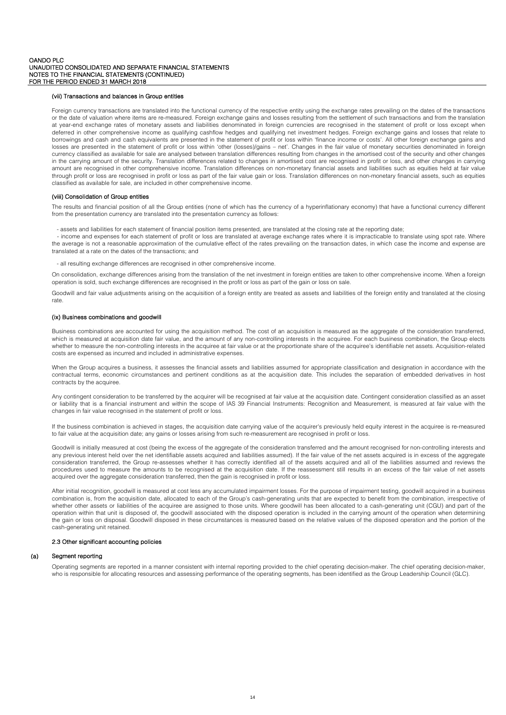#### (vii) Transactions and balances in Group entities

Foreign currency transactions are translated into the functional currency of the respective entity using the exchange rates prevailing on the dates of the transactions or the date of valuation where items are re-measured. Foreign exchange gains and losses resulting from the settlement of such transactions and from the translation at year-end exchange rates of monetary assets and liabilities denominated in foreign currencies are recognised in the statement of profit or loss except when deferred in other comprehensive income as qualifying cashflow hedges and qualifying net investment hedges. Foreign exchange gains and losses that relate to borrowings and cash and cash equivalents are presented in the statement of profit or loss within 'finance income or costs'. All other foreign exchange gains and losses are presented in the statement of profit or loss within 'other (losses)/gains - net'. Changes in the fair value of monetary securities denominated in foreign currency classified as available for sale are analysed between translation differences resulting from changes in the amortised cost of the security and other changes in the carrying amount of the security. Translation differences related to changes in amortised cost are recognised in profit or loss, and other changes in carrying amount are recognised in other comprehensive income. Translation differences on non-monetary financial assets and liabilities such as equities held at fair value through profit or loss are recognised in profit or loss as part of the fair value gain or loss. Translation differences on non-monetary financial assets, such as equities classified as available for sale, are included in other comprehensive income.

#### (viii) Consolidation of Group entities

The results and financial position of all the Group entities (none of which has the currency of a hyperinflationary economy) that have a functional currency different from the presentation currency are translated into the presentation currency as follows:

- assets and liabilities for each statement of financial position items presented, are translated at the closing rate at the reporting date;

- income and expenses for each statement of profit or loss are translated at average exchange rates where it is impracticable to translate using spot rate. Where the average is not a reasonable approximation of the cumulative effect of the rates prevailing on the transaction dates, in which case the income and expense are translated at a rate on the dates of the transactions; and

- all resulting exchange differences are recognised in other comprehensive income.

On consolidation, exchange differences arising from the translation of the net investment in foreign entities are taken to other comprehensive income. When a foreign operation is sold, such exchange differences are recognised in the profit or loss as part of the gain or loss on sale.

Goodwill and fair value adjustments arising on the acquisition of a foreign entity are treated as assets and liabilities of the foreign entity and translated at the closing rate.

#### (ix) Business combinations and goodwill

Business combinations are accounted for using the acquisition method. The cost of an acquisition is measured as the aggregate of the consideration transferred, which is measured at acquisition date fair value, and the amount of any non-controlling interests in the acquiree. For each business combination, the Group elects whether to measure the non-controlling interests in the acquiree at fair value or at the proportionate share of the acquiree's identifiable net assets. Acquisition-related costs are expensed as incurred and included in administrative expenses.

When the Group acquires a business, it assesses the financial assets and liabilities assumed for appropriate classification and designation in accordance with the contractual terms, economic circumstances and pertinent conditions as at the acquisition date. This includes the separation of embedded derivatives in host contracts by the acquiree.

Any contingent consideration to be transferred by the acquirer will be recognised at fair value at the acquisition date. Contingent consideration classified as an asset or liability that is a financial instrument and within the scope of IAS 39 Financial Instruments: Recognition and Measurement, is measured at fair value with the changes in fair value recognised in the statement of profit or loss.

If the business combination is achieved in stages, the acquisition date carrying value of the acquirer's previously held equity interest in the acquiree is re-measured to fair value at the acquisition date; any gains or losses arising from such re-measurement are recognised in profit or loss.

Goodwill is initially measured at cost (being the excess of the aggregate of the consideration transferred and the amount recognised for non-controlling interests and any previous interest held over the net identifiable assets acquired and liabilities assumed). If the fair value of the net assets acquired is in excess of the aggregate consideration transferred, the Group re-assesses whether it has correctly identified all of the assets acquired and all of the liabilities assumed and reviews the procedures used to measure the amounts to be recognised at the acquisition date. If the reassessment still results in an excess of the fair value of net assets acquired over the aggregate consideration transferred, then the gain is recognised in profit or loss.

After initial recognition, goodwill is measured at cost less any accumulated impairment losses. For the purpose of impairment testing, goodwill acquired in a business combination is, from the acquisition date, allocated to each of the Group's cash-generating units that are expected to benefit from the combination, irrespective of whether other assets or liabilities of the acquiree are assigned to those units. Where goodwill has been allocated to a cash-generating unit (CGU) and part of the operation within that unit is disposed of, the goodwill associated with the disposed operation is included in the carrying amount of the operation when determining the gain or loss on disposal. Goodwill disposed in these circumstances is measured based on the relative values of the disposed operation and the portion of the cash-generating unit retained.

#### 2.3 Other significant accounting policies

#### (a) Segment reporting

Operating segments are reported in a manner consistent with internal reporting provided to the chief operating decision-maker. The chief operating decision-maker, who is responsible for allocating resources and assessing performance of the operating segments, has been identified as the Group Leadership Council (GLC).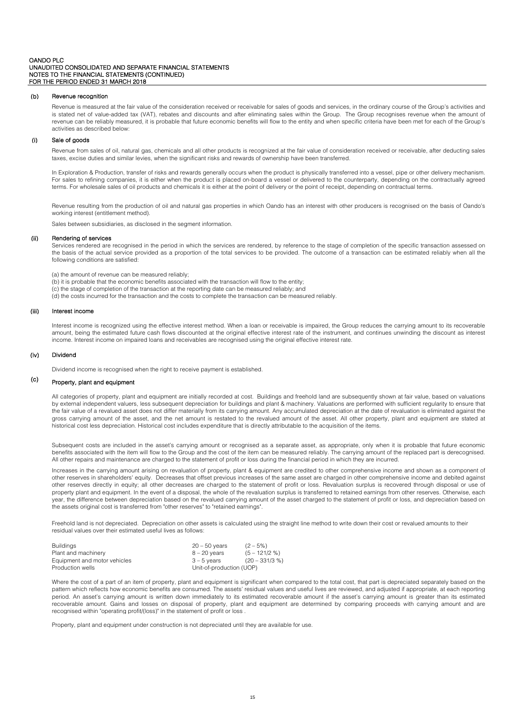#### (b) Revenue recognition

Revenue is measured at the fair value of the consideration received or receivable for sales of goods and services, in the ordinary course of the Group's activities and is stated net of value-added tax (VAT), rebates and discounts and after eliminating sales within the Group. The Group recognises revenue when the amount of revenue can be reliably measured, it is probable that future economic benefits will flow to the entity and when specific criteria have been met for each of the Group's activities as described below:

## (i) Sale of goods

Revenue from sales of oil, natural gas, chemicals and all other products is recognized at the fair value of consideration received or receivable, after deducting sales taxes, excise duties and similar levies, when the significant risks and rewards of ownership have been transferred.

In Exploration & Production, transfer of risks and rewards generally occurs when the product is physically transferred into a vessel, pipe or other delivery mechanism. For sales to refining companies, it is either when the product is placed on-board a vessel or delivered to the counterparty, depending on the contractually agreed terms. For wholesale sales of oil products and chemicals it is either at the point of delivery or the point of receipt, depending on contractual terms.

Revenue resulting from the production of oil and natural gas properties in which Oando has an interest with other producers is recognised on the basis of Oando's working interest (entitlement method).

Sales between subsidiaries, as disclosed in the segment information.

#### (ii) Rendering of services

Services rendered are recognised in the period in which the services are rendered, by reference to the stage of completion of the specific transaction assessed on the basis of the actual service provided as a proportion of the total services to be provided. The outcome of a transaction can be estimated reliably when all the following conditions are satisfied:

(a) the amount of revenue can be measured reliably;

(b) it is probable that the economic benefits associated with the transaction will flow to the entity;

(c) the stage of completion of the transaction at the reporting date can be measured reliably; and

(d) the costs incurred for the transaction and the costs to complete the transaction can be measured reliably.

## (iii) Interest income

Interest income is recognized using the effective interest method. When a loan or receivable is impaired, the Group reduces the carrying amount to its recoverable amount, being the estimated future cash flows discounted at the original effective interest rate of the instrument, and continues unwinding the discount as interest income. Interest income on impaired loans and receivables are recognised using the original effective interest rate.

#### (iv) Dividend

Dividend income is recognised when the right to receive payment is established.

# (c) Property, plant and equipment

All categories of property, plant and equipment are initially recorded at cost. Buildings and freehold land are subsequently shown at fair value, based on valuations by external independent valuers, less subsequent depreciation for buildings and plant & machinery. Valuations are performed with sufficient regularity to ensure that the fair value of a revalued asset does not differ materially from its carrying amount. Any accumulated depreciation at the date of revaluation is eliminated against the gross carrying amount of the asset, and the net amount is restated to the revalued amount of the asset. All other property, plant and equipment are stated at historical cost less depreciation. Historical cost includes expenditure that is directly attributable to the acquisition of the items.

Subsequent costs are included in the asset's carrying amount or recognised as a separate asset, as appropriate, only when it is probable that future economic benefits associated with the item will flow to the Group and the cost of the item can be measured reliably. The carrying amount of the replaced part is derecognised. All other repairs and maintenance are charged to the statement of profit or loss during the financial period in which they are incurred.

Increases in the carrying amount arising on revaluation of property, plant & equipment are credited to other comprehensive income and shown as a component of other reserves in shareholders' equity. Decreases that offset previous increases of the same asset are charged in other comprehensive income and debited against other reserves directly in equity; all other decreases are charged to the statement of profit or loss. Revaluation surplus is recovered through disposal or use of property plant and equipment. In the event of a disposal, the whole of the revaluation surplus is transferred to retained earnings from other reserves. Otherwise, each year, the difference between depreciation based on the revalued carrying amount of the asset charged to the statement of profit or loss, and depreciation based on the assets original cost is transferred from "other reserves" to "retained earnings".

Freehold land is not depreciated. Depreciation on other assets is calculated using the straight line method to write down their cost or revalued amounts to their residual values over their estimated useful lives as follows:

| <b>Buildings</b>             | $20 - 50$ years          | $(2 - 5\%)$     |
|------------------------------|--------------------------|-----------------|
| Plant and machinery          | $8 - 20$ years           | $(5 - 121/2%)$  |
| Equipment and motor vehicles | $3 - 5$ vears            | $(20 - 331/3%)$ |
| Production wells             | Unit-of-production (UOP) |                 |

Where the cost of a part of an item of property, plant and equipment is significant when compared to the total cost, that part is depreciated separately based on the pattern which reflects how economic benefits are consumed. The assets' residual values and useful lives are reviewed, and adjusted if appropriate, at each reporting period. An asset's carrying amount is written down immediately to its estimated recoverable amount if the asset's carrying amount is greater than its estimated recoverable amount. Gains and losses on disposal of property, plant and equipment are determined by comparing proceeds with carrying amount and are recognised within "operating profit/(loss)" in the statement of profit or loss .

Property, plant and equipment under construction is not depreciated until they are available for use.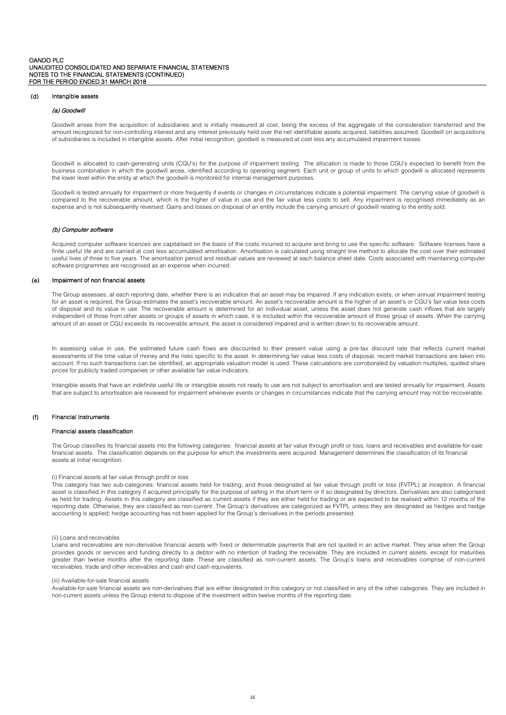#### (d) Intangible assets

# (a) Goodwill

Goodwill arises from the acquisition of subsidiaries and is initially measured at cost, being the excess of the aggregate of the consideration transferred and the amount recognized for non-controlling interest and any interest previously held over the net identifiable assets acquired, liabilities assumed. Goodwill on acquisitions of subsidiaries is included in intangible assets. After initial recognition, goodwill is measured at cost less any accumulated impairment losses.

Goodwill is allocated to cash-generating units (CGU's) for the purpose of impairment testing. The allocation is made to those CGU's expected to benefit from the business combination in which the goodwill arose, identified according to operating segment. Each unit or group of units to which goodwill is allocated represents the lower level within the entity at which the goodwill is monitored for internal management purposes.

Goodwill is tested annually for impairment or more frequently if events or changes in circumstances indicate a potential impairment. The carrying value of goodwill is compared to the recoverable amount, which is the higher of value in use and the fair value less costs to sell. Any impairment is recognised immediately as an expense and is not subsequently reversed. Gains and losses on disposal of an entity include the carrying amount of goodwill relating to the entity sold.

#### (b) Computer software

Acquired computer software licences are capitalised on the basis of the costs incurred to acquire and bring to use the specific software. Software licenses have a finite useful life and are carried at cost less accumulated amortisation. Amortisation is calculated using straight line method to allocate the cost over their estimated useful lives of three to five years. The amortisation period and residual values are reviewed at each balance sheet date. Costs associated with maintaining computer software programmes are recognised as an expense when incurred.

#### (e) Impairment of non financial assets

The Group assesses, at each reporting date, whether there is an indication that an asset may be impaired. If any indication exists, or when annual impairment testing for an asset is required, the Group estimates the asset's recoverable amount. An asset's recoverable amount is the higher of an asset's or CGU's fair value less costs of disposal and its value in use. The recoverable amount is determined for an individual asset, unless the asset does not generate cash inflows that are largely independent of those from other assets or groups of assets in which case, it is included within the recoverable amount of those group of assets. When the carrying amount of an asset or CGU exceeds its recoverable amount, the asset is considered impaired and is written down to its recoverable amount.

In assessing value in use, the estimated future cash flows are discounted to their present value using a pre-tax discount rate that reflects current market assessments of the time value of money and the risks specific to the asset. In determining fair value less costs of disposal, recent market transactions are taken into account. If no such transactions can be identified, an appropriate valuation model is used. These calculations are corroborated by valuation multiples, quoted share prices for publicly traded companies or other available fair value indicators.

Intangible assets that have an indefinite useful life or intangible assets not ready to use are not subject to amortisation and are tested annually for impairment. Assets that are subject to amortisation are reviewed for impairment whenever events or changes in circumstances indicate that the carrying amount may not be recoverable.

# (f) Financial instruments

# Financial assets classification

The Group classifies its financial assets into the following categories: financial assets at fair value through profit or loss, loans and receivables and available-for-sale financial assets. The classification depends on the purpose for which the investments were acquired. Management determines the classification of its financial assets at initial recognition.

#### (i) Financial assets at fair value through profit or loss

This category has two sub-categories: financial assets held for trading, and those designated at fair value through profit or loss (FVTPL) at inception. A financial asset is classified in this category if acquired principally for the purpose of selling in the short term or if so designated by directors. Derivatives are also categorised as held for trading. Assets in this category are classified as current assets if they are either held for trading or are expected to be realised within 12 months of the reporting date. Otherwise, they are classified as non-current. The Group's derivatives are categorized as FVTPL unless they are designated as hedges and hedge accounting is applied; hedge accounting has not been applied for the Group's derivatives in the periods presented.

#### (ii) Loans and receivables

Loans and receivables are non-derivative financial assets with fixed or determinable payments that are not quoted in an active market. They arise when the Group provides goods or services and funding directly to a debtor with no intention of trading the receivable. They are included in current assets, except for maturities greater than twelve months after the reporting date. These are classified as non-current assets. The Group's loans and receivables comprise of non-current receivables; trade and other receivables and cash and cash equivalents.

#### (iii) Available-for-sale financial assets

Available-for-sale financial assets are non-derivatives that are either designated in this category or not classified in any of the other categories. They are included in non-current assets unless the Group intend to dispose of the investment within twelve months of the reporting date.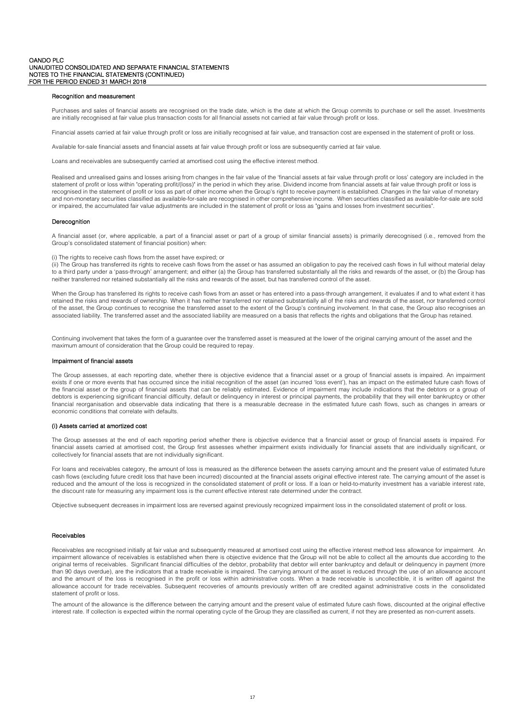#### Recognition and measurement

Purchases and sales of financial assets are recognised on the trade date, which is the date at which the Group commits to purchase or sell the asset. Investments are initially recognised at fair value plus transaction costs for all financial assets not carried at fair value through profit or loss.

Financial assets carried at fair value through profit or loss are initially recognised at fair value, and transaction cost are expensed in the statement of profit or loss.

Available for-sale financial assets and financial assets at fair value through profit or loss are subsequently carried at fair value.

Loans and receivables are subsequently carried at amortised cost using the effective interest method.

Realised and unrealised gains and losses arising from changes in the fair value of the 'financial assets at fair value through profit or loss' category are included in the statement of profit or loss within "operating profit/(loss)" in the period in which they arise. Dividend income from financial assets at fair value through profit or loss is recognised in the statement of profit or loss as part of other income when the Group's right to receive payment is established. Changes in the fair value of monetary and non-monetary securities classified as available-for-sale are recognised in other comprehensive income. When securities classified as available-for-sale are sold or impaired, the accumulated fair value adjustments are included in the statement of profit or loss as "gains and losses from investment securities".

#### Derecognition

A financial asset (or, where applicable, a part of a financial asset or part of a group of similar financial assets) is primarily derecognised (i.e., removed from the Group's consolidated statement of financial position) when:

#### (i) The rights to receive cash flows from the asset have expired; or

(ii) The Group has transferred its rights to receive cash flows from the asset or has assumed an obligation to pay the received cash flows in full without material delay to a third party under a 'pass-through' arrangement; and either (a) the Group has transferred substantially all the risks and rewards of the asset, or (b) the Group has neither transferred nor retained substantially all the risks and rewards of the asset, but has transferred control of the asset.

When the Group has transferred its rights to receive cash flows from an asset or has entered into a pass-through arrangement, it evaluates if and to what extent it has retained the risks and rewards of ownership. When it has neither transferred nor retained substantially all of the risks and rewards of the asset, nor transferred control of the asset, the Group continues to recognise the transferred asset to the extent of the Group's continuing involvement. In that case, the Group also recognises an associated liability. The transferred asset and the associated liability are measured on a basis that reflects the rights and obligations that the Group has retained.

Continuing involvement that takes the form of a guarantee over the transferred asset is measured at the lower of the original carrying amount of the asset and the maximum amount of consideration that the Group could be required to repay.

#### Impairment of financial assets

The Group assesses, at each reporting date, whether there is objective evidence that a financial asset or a group of financial assets is impaired. An impairment exists if one or more events that has occurred since the initial recognition of the asset (an incurred 'loss event'), has an impact on the estimated future cash flows of the financial asset or the group of financial assets that can be reliably estimated. Evidence of impairment may include indications that the debtors or a group of debtors is experiencing significant financial difficulty, default or delinquency in interest or principal payments, the probability that they will enter bankruptcy or other financial reorganisation and observable data indicating that there is a measurable decrease in the estimated future cash flows, such as changes in arrears or economic conditions that correlate with defaults.

#### (i) Assets carried at amortized cost

The Group assesses at the end of each reporting period whether there is objective evidence that a financial asset or group of financial assets is impaired. For financial assets carried at amortised cost, the Group first assesses whether impairment exists individually for financial assets that are individually significant, or collectively for financial assets that are not individually significant.

For loans and receivables category, the amount of loss is measured as the difference between the assets carrying amount and the present value of estimated future cash flows (excluding future credit loss that have been incurred) discounted at the financial assets original effective interest rate. The carrying amount of the asset is reduced and the amount of the loss is recognized in the consolidated statement of profit or loss. If a loan or held-to-maturity investment has a variable interest rate, the discount rate for measuring any impairment loss is the current effective interest rate determined under the contract.

Objective subsequent decreases in impairment loss are reversed against previously recognized impairment loss in the consolidated statement of profit or loss.

#### Receivables

Receivables are recognised initially at fair value and subsequently measured at amortised cost using the effective interest method less allowance for impairment. An impairment allowance of receivables is established when there is objective evidence that the Group will not be able to collect all the amounts due according to the original terms of receivables. Significant financial difficulties of the debtor, probability that debtor will enter bankruptcy and default or delinquency in payment (more than 90 days overdue), are the indicators that a trade receivable is impaired. The carrying amount of the asset is reduced through the use of an allowance account and the amount of the loss is recognised in the profit or loss within administrative costs. When a trade receivable is uncollectible, it is written off against the allowance account for trade receivables. Subsequent recoveries of amounts previously written off are credited against administrative costs in the consolidated statement of profit or loss.

The amount of the allowance is the difference between the carrying amount and the present value of estimated future cash flows, discounted at the original effective interest rate. If collection is expected within the normal operating cycle of the Group they are classified as current, if not they are presented as non-current assets.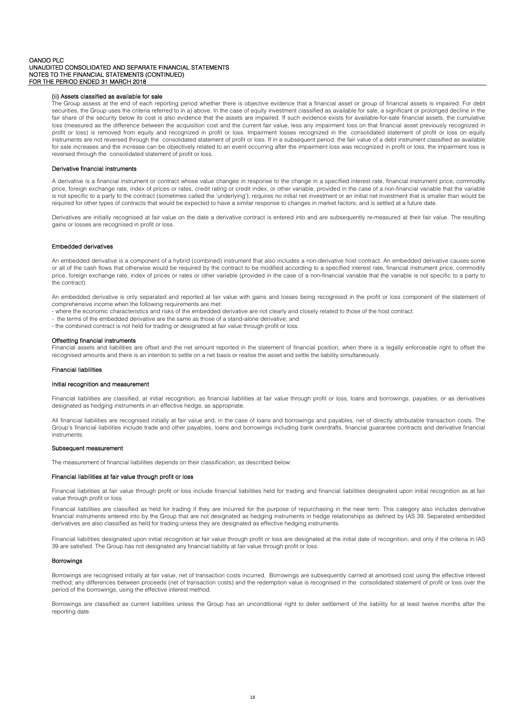#### (ii) Assets classified as available for sale

The Group assess at the end of each reporting period whether there is objective evidence that a financial asset or group of financial assets is impaired. For debt securities, the Group uses the criteria referred to in a) above. In the case of equity investment classified as available for sale, a significant or prolonged decline in the fair share of the security below its cost is also evidence that the assets are impaired. If such evidence exists for available-for-sale financial assets, the cumulative loss (measured as the difference between the acquisition cost and the current fair value, less any impairment loss on that financial asset previously recognized in profit or loss) is removed from equity and recognized in profit or loss. Impairment losses recognized in the consolidated statement of profit or loss on equity instruments are not reversed through the consolidated statement of profit or loss. If in a subsequent period, the fair value of a debt instrument classified as available for sale increases and the increase can be objectively related to an event occurring after the impairment loss was recognized in profit or loss, the impairment loss is reversed through the consolidated statement of profit or loss.

#### Derivative financial instruments

A derivative is a financial instrument or contract whose value changes in response to the change in a specified interest rate, financial instrument price, commodity price, foreign exchange rate, index of prices or rates, credit rating or credit index, or other variable, provided in the case of a non-financial variable that the variable is not specific to a party to the contract (sometimes called the 'underlying'); requires no initial net investment or an initial net investment that is smaller than would be required for other types of contracts that would be expected to have a similar response to changes in market factors; and is settled at a future date.

Derivatives are initially recognised at fair value on the date a derivative contract is entered into and are subsequently re-measured at their fair value. The resulting gains or losses are recognised in profit or loss.

#### Embedded derivatives

An embedded derivative is a component of a hybrid (combined) instrument that also includes a non-derivative host contract. An embedded derivative causes some or all of the cash flows that otherwise would be required by the contract to be modified according to a specified interest rate, financial instrument price, commodity price, foreign exchange rate, index of prices or rates or other variable (provided in the case of a non-financial variable that the variable is not specific to a party to the contract).

An embedded derivative is only separated and reported at fair value with gains and losses being recognised in the profit or loss component of the statement of comprehensive income when the following requirements are met:

- where the economic characteristics and risks of the embedded derivative are not clearly and closely related to those of the host contract.
- the terms of the embedded derivative are the same as those of a stand-alone derivative; and
- the combined contract is not held for trading or designated at fair value through profit or loss.

#### Offsetting financial instruments

Financial assets and liabilities are offset and the net amount reported in the statement of financial position, when there is a legally enforceable right to offset the recognised amounts and there is an intention to settle on a net basis or realise the asset and settle the liability simultaneously.

#### Financial liabilities

#### Initial recognition and measurement

Financial liabilities are classified, at initial recognition, as financial liabilities at fair value through profit or loss, loans and borrowings, payables, or as derivatives designated as hedging instruments in an effective hedge, as appropriate.

All financial liabilities are recognised initially at fair value and, in the case of loans and borrowings and payables, net of directly attributable transaction costs. The Group's financial liabilities include trade and other payables, loans and borrowings including bank overdrafts, financial guarantee contracts and derivative financial instruments.

#### Subsequent measurement

The measurement of financial liabilities depends on their classification, as described below:

## Financial liabilities at fair value through profit or loss

Financial liabilities at fair value through profit or loss include financial liabilities held for trading and financial liabilities designated upon initial recognition as at fair value through profit or loss.

Financial liabilities are classified as held for trading if they are incurred for the purpose of repurchasing in the near term. This category also includes derivative financial instruments entered into by the Group that are not designated as hedging instruments in hedge relationships as defined by IAS 39. Separated embedded derivatives are also classified as held for trading unless they are designated as effective hedging instruments.

Financial liabilities designated upon initial recognition at fair value through profit or loss are designated at the initial date of recognition, and only if the criteria in IAS 39 are satisfied. The Group has not designated any financial liability at fair value through profit or loss.

#### **Borrowings**

Borrowings are recognised initially at fair value, net of transaction costs incurred. Borrowings are subsequently carried at amortised cost using the effective interest method; any differences between proceeds (net of transaction costs) and the redemption value is recognised in the consolidated statement of profit or loss over the period of the borrowings, using the effective interest method.

Borrowings are classified as current liabilities unless the Group has an unconditional right to defer settlement of the liability for at least twelve months after the reporting date.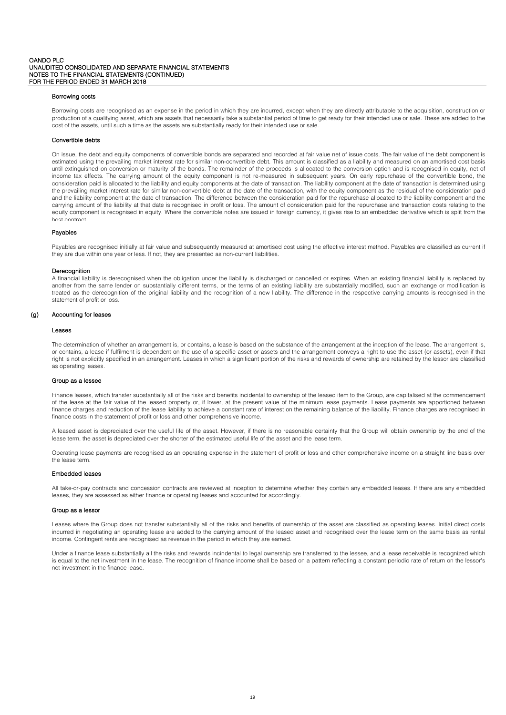#### Borrowing costs

Borrowing costs are recognised as an expense in the period in which they are incurred, except when they are directly attributable to the acquisition, construction or production of a qualifying asset, which are assets that necessarily take a substantial period of time to get ready for their intended use or sale. These are added to the cost of the assets, until such a time as the assets are substantially ready for their intended use or sale.

#### Convertible debts

On issue, the debt and equity components of convertible bonds are separated and recorded at fair value net of issue costs. The fair value of the debt component is estimated using the prevailing market interest rate for similar non-convertible debt. This amount is classified as a liability and measured on an amortised cost basis until extinguished on conversion or maturity of the bonds. The remainder of the proceeds is allocated to the conversion option and is recognised in equity, net of income tax effects. The carrying amount of the equity component is not re-measured in subsequent years. On early repurchase of the convertible bond, the consideration paid is allocated to the liability and equity components at the date of transaction. The liability component at the date of transaction is determined using the prevailing market interest rate for similar non-convertible debt at the date of the transaction, with the equity component as the residual of the consideration paid and the liability component at the date of transaction. The difference between the consideration paid for the repurchase allocated to the liability component and the carrying amount of the liability at that date is recognised in profit or loss. The amount of consideration paid for the repurchase and transaction costs relating to the equity component is recognised in equity. Where the convertible notes are issued in foreign currency, it gives rise to an embedded derivative which is split from the host contract.

#### Payables

Payables are recognised initially at fair value and subsequently measured at amortised cost using the effective interest method. Payables are classified as current if they are due within one year or less. If not, they are presented as non-current liabilities.

#### Derecognition

A financial liability is derecognised when the obligation under the liability is discharged or cancelled or expires. When an existing financial liability is replaced by another from the same lender on substantially different terms, or the terms of an existing liability are substantially modified, such an exchange or modification is treated as the derecognition of the original liability and the recognition of a new liability. The difference in the respective carrying amounts is recognised in the statement of profit or loss.

#### $(a)$ Accounting for leases

#### Leases

The determination of whether an arrangement is, or contains, a lease is based on the substance of the arrangement at the inception of the lease. The arrangement is, or contains, a lease if fulfilment is dependent on the use of a specific asset or assets and the arrangement conveys a right to use the asset (or assets), even if that right is not explicitly specified in an arrangement. Leases in which a significant portion of the risks and rewards of ownership are retained by the lessor are classified as operating leases.

#### Group as a lessee

Finance leases, which transfer substantially all of the risks and benefits incidental to ownership of the leased item to the Group, are capitalised at the commencement of the lease at the fair value of the leased property or, if lower, at the present value of the minimum lease payments. Lease payments are apportioned between finance charges and reduction of the lease liability to achieve a constant rate of interest on the remaining balance of the liability. Finance charges are recognised in finance costs in the statement of profit or loss and other comprehensive income.

A leased asset is depreciated over the useful life of the asset. However, if there is no reasonable certainty that the Group will obtain ownership by the end of the lease term, the asset is depreciated over the shorter of the estimated useful life of the asset and the lease term.

Operating lease payments are recognised as an operating expense in the statement of profit or loss and other comprehensive income on a straight line basis over the lease term.

#### Embedded leases

All take-or-pay contracts and concession contracts are reviewed at inception to determine whether they contain any embedded leases. If there are any embedded leases, they are assessed as either finance or operating leases and accounted for accordingly

#### Group as a lessor

Leases where the Group does not transfer substantially all of the risks and benefits of ownership of the asset are classified as operating leases. Initial direct costs incurred in negotiating an operating lease are added to the carrying amount of the leased asset and recognised over the lease term on the same basis as rental income. Contingent rents are recognised as revenue in the period in which they are earned.

Under a finance lease substantially all the risks and rewards incindental to legal ownership are transferred to the lessee, and a lease receivable is recognized which is equal to the net investment in the lease. The recognition of finance income shall be based on a pattern reflecting a constant periodic rate of return on the lessor's net investment in the finance lease.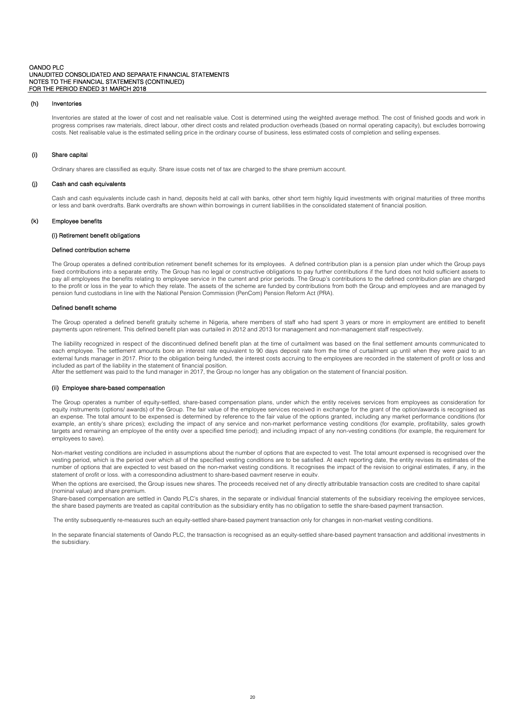#### (h) Inventories

Inventories are stated at the lower of cost and net realisable value. Cost is determined using the weighted average method. The cost of finished goods and work in progress comprises raw materials, direct labour, other direct costs and related production overheads (based on normal operating capacity), but excludes borrowing costs. Net realisable value is the estimated selling price in the ordinary course of business, less estimated costs of completion and selling expenses.

#### (i) Share capital

Ordinary shares are classified as equity. Share issue costs net of tax are charged to the share premium account.

#### (j) Cash and cash equivalents

Cash and cash equivalents include cash in hand, deposits held at call with banks, other short term highly liquid investments with original maturities of three months or less and bank overdrafts. Bank overdrafts are shown within borrowings in current liabilities in the consolidated statement of financial position.

#### $(k)$ Employee benefits

#### (i) Retirement benefit obligations

#### Defined contribution scheme

The Group operates a defined contribution retirement benefit schemes for its employees. A defined contribution plan is a pension plan under which the Group pays fixed contributions into a separate entity. The Group has no legal or constructive obligations to pay further contributions if the fund does not hold sufficient assets to pay all employees the benefits relating to employee service in the current and prior periods. The Group's contributions to the defined contribution plan are charged to the profit or loss in the year to which they relate. The assets of the scheme are funded by contributions from both the Group and employees and are managed by pension fund custodians in line with the National Pension Commission (PenCom) Pension Reform Act (PRA).

#### Defined benefit scheme

The Group operated a defined benefit gratuity scheme in Nigeria, where members of staff who had spent 3 years or more in employment are entitled to benefit payments upon retirement. This defined benefit plan was curtailed in 2012 and 2013 for management and non-management staff respectively.

The liability recognized in respect of the discontinued defined benefit plan at the time of curtailment was based on the final settlement amounts communicated to each employee. The settlement amounts bore an interest rate equivalent to 90 days deposit rate from the time of curtailment up until when they were paid to an external funds manager in 2017. Prior to the obligation being funded, the interest costs accruing to the employees are recorded in the statement of profit or loss and included as part of the liability in the statement of financial position.

After the settlement was paid to the fund manager in 2017, the Group no longer has any obligation on the statement of financial position.

#### (ii) Employee share-based compensation

The Group operates a number of equity-settled, share-based compensation plans, under which the entity receives services from employees as consideration for equity instruments (options/ awards) of the Group. The fair value of the employee services received in exchange for the grant of the option/awards is recognised as an expense. The total amount to be expensed is determined by reference to the fair value of the options granted, including any market performance conditions (for example, an entity's share prices); excluding the impact of any service and non-market performance vesting conditions (for example, profitability, sales growth targets and remaining an employee of the entity over a specified time period); and including impact of any non-vesting conditions (for example, the requirement for employees to save).

Non-market vesting conditions are included in assumptions about the number of options that are expected to vest. The total amount expensed is recognised over the vesting period, which is the period over which all of the specified vesting conditions are to be satisfied. At each reporting date, the entity revises its estimates of the number of options that are expected to vest based on the non-market vesting conditions. It recognises the impact of the revision to original estimates, if any, in the statement of profit or loss, with a corresponding adjustment to share-based payment reserve in equity.

When the options are exercised, the Group issues new shares. The proceeds received net of any directly attributable transaction costs are credited to share capital (nominal value) and share premium.

Share-based compensation are settled in Oando PLC's shares, in the separate or individual financial statements of the subsidiary receiving the employee services, the share based payments are treated as capital contribution as the subsidiary entity has no obligation to settle the share-based payment transaction.

The entity subsequently re-measures such an equity-settled share-based payment transaction only for changes in non-market vesting conditions.

In the separate financial statements of Oando PLC, the transaction is recognised as an equity-settled share-based payment transaction and additional investments in the subsidiary.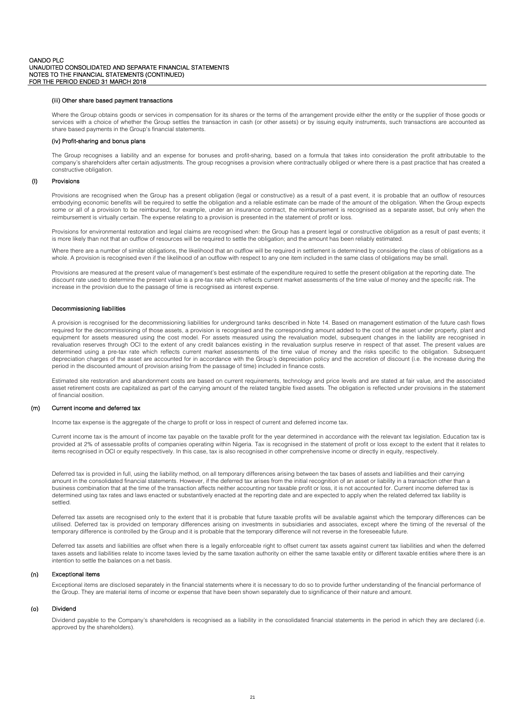#### (iii) Other share based payment transactions

Where the Group obtains goods or services in compensation for its shares or the terms of the arrangement provide either the entity or the supplier of those goods or services with a choice of whether the Group settles the transaction in cash (or other assets) or by issuing equity instruments, such transactions are accounted as share based payments in the Group's financial statements.

#### (iv) Profit-sharing and bonus plans

The Group recognises a liability and an expense for bonuses and profit-sharing, based on a formula that takes into consideration the profit attributable to the company's shareholders after certain adjustments. The group recognises a provision where contractually obliged or where there is a past practice that has created a constructive obligation.

#### (l) Provisions

Provisions are recognised when the Group has a present obligation (legal or constructive) as a result of a past event, it is probable that an outflow of resources embodying economic benefits will be required to settle the obligation and a reliable estimate can be made of the amount of the obligation. When the Group expects some or all of a provision to be reimbursed, for example, under an insurance contract, the reimbursement is recognised as a separate asset, but only when the reimbursement is virtually certain. The expense relating to a provision is presented in the statement of profit or loss.

Provisions for environmental restoration and legal claims are recognised when: the Group has a present legal or constructive obligation as a result of past events; it is more likely than not that an outflow of resources will be required to settle the obligation; and the amount has been reliably estimated

Where there are a number of similar obligations, the likelihood that an outflow will be required in settlement is determined by considering the class of obligations as a whole. A provision is recognised even if the likelihood of an outflow with respect to any one item included in the same class of obligations may be small

Provisions are measured at the present value of management's best estimate of the expenditure required to settle the present obligation at the reporting date. The discount rate used to determine the present value is a pre-tax rate which reflects current market assessments of the time value of money and the specific risk. The increase in the provision due to the passage of time is recognised as interest expense.

#### Decommissioning liabilities

A provision is recognised for the decommissioning liabilities for underground tanks described in Note 14. Based on management estimation of the future cash flows required for the decommissioning of those assets, a provision is recognised and the corresponding amount added to the cost of the asset under property, plant and equipment for assets measured using the cost model. For assets measured using the revaluation model, subsequent changes in the liability are recognised in revaluation reserves through OCI to the extent of any credit balances existing in the revaluation surplus reserve in respect of that asset. The present values are determined using a pre-tax rate which reflects current market assessments of the time value of money and the risks specific to the obligation. Subsequent depreciation charges of the asset are accounted for in accordance with the Group's depreciation policy and the accretion of discount (i.e. the increase during the period in the discounted amount of provision arising from the passage of time) included in finance costs.

Estimated site restoration and abandonment costs are based on current requirements, technology and price levels and are stated at fair value, and the associated asset retirement costs are capitalized as part of the carrying amount of the related tangible fixed assets. The obligation is reflected under provisions in the statement of financial position.

#### (m) Current income and deferred tax

Income tax expense is the aggregate of the charge to profit or loss in respect of current and deferred income tax.

Current income tax is the amount of income tax payable on the taxable profit for the year determined in accordance with the relevant tax legislation. Education tax is provided at 2% of assessable profits of companies operating within Nigeria. Tax is recognised in the statement of profit or loss except to the extent that it relates to items recognised in OCI or equity respectively. In this case, tax is also recognised in other comprehensive income or directly in equity, respectively.

Deferred tax is provided in full, using the liability method, on all temporary differences arising between the tax bases of assets and liabilities and their carrying amount in the consolidated financial statements. However, if the deferred tax arises from the initial recognition of an asset or liability in a transaction other than a business combination that at the time of the transaction affects neither accounting nor taxable profit or loss, it is not accounted for. Current income deferred tax is determined using tax rates and laws enacted or substantively enacted at the reporting date and are expected to apply when the related deferred tax liability is settled.

Deferred tax assets are recognised only to the extent that it is probable that future taxable profits will be available against which the temporary differences can be utilised. Deferred tax is provided on temporary differences arising on investments in subsidiaries and associates, except where the timing of the reversal of the temporary difference is controlled by the Group and it is probable that the temporary difference will not reverse in the foreseeable future.

Deferred tax assets and liabilities are offset when there is a legally enforceable right to offset current tax assets against current tax liabilities and when the deferred taxes assets and liabilities relate to income taxes levied by the same taxation authority on either the same taxable entity or different taxable entities where there is an intention to settle the balances on a net basis.

#### (n) Exceptional items

Exceptional items are disclosed separately in the financial statements where it is necessary to do so to provide further understanding of the financial performance of the Group. They are material items of income or expense that have been shown separately due to significance of their nature and amount.

#### (o) Dividend

Dividend payable to the Company's shareholders is recognised as a liability in the consolidated financial statements in the period in which they are declared (i.e. approved by the shareholders).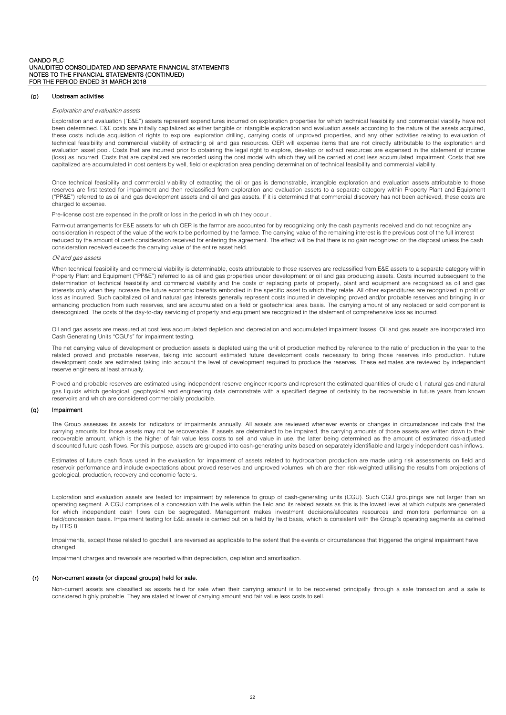## (p) Upstream activities

#### Exploration and evaluation assets

Exploration and evaluation ('E&E') assets represent expenditures incurred on exploration properties for which technical feasibility and commercial viability have not been determined. E&E costs are initially capitalized as either tangible or intangible exploration and evaluation assets according to the nature of the assets acquired, these costs include acquisition of rights to explore, exploration drilling, carrying costs of unproved properties, and any other activities relating to evaluation of technical feasibility and commercial viability of extracting oil and gas resources. OER will expense items that are not directly attributable to the exploration and evaluation asset pool. Costs that are incurred prior to obtaining the legal right to explore, develop or extract resources are expensed in the statement of income (loss) as incurred. Costs that are capitalized are recorded using the cost model with which they will be carried at cost less accumulated impairment. Costs that are capitalized are accumulated in cost centers by well, field or exploration area pending determination of technical feasibility and commercial viability.

Once technical feasibility and commercial viability of extracting the oil or gas is demonstrable, intangible exploration and evaluation assets attributable to those reserves are first tested for impairment and then reclassified from exploration and evaluation assets to a separate category within Property Plant and Equipment ('PP&E') referred to as oil and gas development assets and oil and gas assets. If it is determined that commercial discovery has not been achieved, these costs are charged to expense.

Pre-license cost are expensed in the profit or loss in the period in which they occur

Farm-out arrangements for E&E assets for which OER is the farmor are accounted for by recognizing only the cash payments received and do not recognize any consideration in respect of the value of the work to be performed by the farmee. The carrying value of the remaining interest is the previous cost of the full interest reduced by the amount of cash consideration received for entering the agreement. The effect will be that there is no gain recognized on the disposal unless the cash consideration received exceeds the carrying value of the entire asset held.

#### Oil and gas assets

When technical feasibility and commercial viability is determinable, costs attributable to those reserves are reclassified from E&E assets to a separate category within Property Plant and Equipment ('PP&E') referred to as oil and gas properties under development or oil and gas producing assets. Costs incurred subsequent to the determination of technical feasibility and commercial viability and the costs of replacing parts of property, plant and equipment are recognized as oil and gas interests only when they increase the future economic benefits embodied in the specific asset to which they relate. All other expenditures are recognized in profit or loss as incurred. Such capitalized oil and natural gas interests generally represent costs incurred in developing proved and/or probable reserves and bringing in or enhancing production from such reserves, and are accumulated on a field or geotechnical area basis. The carrying amount of any replaced or sold component is derecognized. The costs of the day-to-day servicing of property and equipment are recognized in the statement of comprehensive loss as incurred.

Oil and gas assets are measured at cost less accumulated depletion and depreciation and accumulated impairment losses. Oil and gas assets are incorporated into Cash Generating Units 'CGU's' for impairment testing.

The net carrying value of development or production assets is depleted using the unit of production method by reference to the ratio of production in the year to the related proved and probable reserves, taking into account estimated future development costs necessary to bring those reserves into production. Future development costs are estimated taking into account the level of development required to produce the reserves. These estimates are reviewed by independent reserve engineers at least annually.

Proved and probable reserves are estimated using independent reserve engineer reports and represent the estimated quantities of crude oil, natural gas and natural gas liquids which geological, geophysical and engineering data demonstrate with a specified degree of certainty to be recoverable in future years from known reservoirs and which are considered commercially producible.

#### (q) Impairment

The Group assesses its assets for indicators of impairments annually. All assets are reviewed whenever events or changes in circumstances indicate that the carrying amounts for those assets may not be recoverable. If assets are determined to be impaired, the carrying amounts of those assets are written down to their recoverable amount, which is the higher of fair value less costs to sell and value in use, the latter being determined as the amount of estimated risk-adjusted discounted future cash flows. For this purpose, assets are grouped into cash-generating units based on separately identifiable and largely independent cash inflows.

Estimates of future cash flows used in the evaluation for impairment of assets related to hydrocarbon production are made using risk assessments on field and reservoir performance and include expectations about proved reserves and unproved volumes, which are then risk-weighted utilising the results from projections of geological, production, recovery and economic factors.

Exploration and evaluation assets are tested for impairment by reference to group of cash-generating units (CGU). Such CGU groupings are not larger than an operating segment. A CGU comprises of a concession with the wells within the field and its related assets as this is the lowest level at which outputs are generated for which independent cash flows can be segregated. Management makes investment decisions/allocates resources and monitors performance on a field/concession basis. Impairment testing for E&E assets is carried out on a field by field basis, which is consistent with the Group's operating segments as defined by IFRS 8.

Impairments, except those related to goodwill, are reversed as applicable to the extent that the events or circumstances that triggered the original impairment have changed.

Impairment charges and reversals are reported within depreciation, depletion and amortisation.

#### (r) Non-current assets (or disposal groups) held for sale.

Non-current assets are classified as assets held for sale when their carrying amount is to be recovered principally through a sale transaction and a sale is considered highly probable. They are stated at lower of carrying amount and fair value less costs to sell.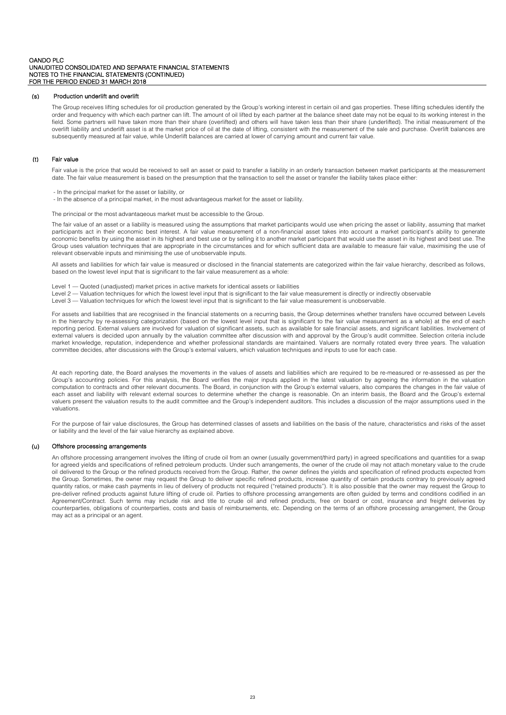# (s) Production underlift and overlift

The Group receives lifting schedules for oil production generated by the Group's working interest in certain oil and gas properties. These lifting schedules identify the order and frequency with which each partner can lift. The amount of oil lifted by each partner at the balance sheet date may not be equal to its working interest in the field. Some partners will have taken more than their share (overlifted) and others will have taken less than their share (underlifted). The initial measurement of the overlift liability and underlift asset is at the market price of oil at the date of lifting, consistent with the measurement of the sale and purchase. Overlift balances are subsequently measured at fair value, while Underlift balances are carried at lower of carrying amount and current fair value.

## (t) Fair value

Fair value is the price that would be received to sell an asset or paid to transfer a liability in an orderly transaction between market participants at the measurement date. The fair value measurement is based on the presumption that the transaction to sell the asset or transfer the liability takes place either:

- In the principal market for the asset or liability, or
- In the absence of a principal market, in the most advantageous market for the asset or liability.

The principal or the most advantageous market must be accessible to the Group.

The fair value of an asset or a liability is measured using the assumptions that market participants would use when pricing the asset or liability, assuming that market participants act in their economic best interest. A fair value measurement of a non-financial asset takes into account a market participant's ability to generate economic benefits by using the asset in its highest and best use or by selling it to another market participant that would use the asset in its highest and best use. The Group uses valuation techniques that are appropriate in the circumstances and for which sufficient data are available to measure fair value, maximising the use of relevant observable inputs and minimising the use of unobservable inputs.

All assets and liabilities for which fair value is measured or disclosed in the financial statements are categorized within the fair value hierarchy, described as follows, based on the lowest level input that is significant to the fair value measurement as a whole:

Level 1 - Quoted (unadjusted) market prices in active markets for identical assets or liabilities

Level 2 - Valuation techniques for which the lowest level input that is significant to the fair value measurement is directly or indirectly observable

Level 3 - Valuation techniques for which the lowest level input that is significant to the fair value measurement is unobservable.

For assets and liabilities that are recognised in the financial statements on a recurring basis, the Group determines whether transfers have occurred between Levels in the hierarchy by re-assessing categorization (based on the lowest level input that is significant to the fair value measurement as a whole) at the end of each reporting period. External valuers are involved for valuation of significant assets, such as available for sale financial assets, and significant liabilities. Involvement of external valuers is decided upon annually by the valuation committee after discussion with and approval by the Group's audit committee. Selection criteria include market knowledge, reputation, independence and whether professional standards are maintained. Valuers are normally rotated every three years. The valuation committee decides, after discussions with the Group's external valuers, which valuation techniques and inputs to use for each case.

At each reporting date, the Board analyses the movements in the values of assets and liabilities which are required to be re-measured or re-assessed as per the Group's accounting policies. For this analysis, the Board verifies the major inputs applied in the latest valuation by agreeing the information in the valuation computation to contracts and other relevant documents. The Board, in conjunction with the Group's external valuers, also compares the changes in the fair value of each asset and liability with relevant external sources to determine whether the change is reasonable. On an interim basis, the Board and the Group's external valuers present the valuation results to the audit committee and the Group's independent auditors. This includes a discussion of the major assumptions used in the valuations.

For the purpose of fair value disclosures, the Group has determined classes of assets and liabilities on the basis of the nature, characteristics and risks of the asset or liability and the level of the fair value hierarchy as explained above.

# (u) Offshore processing arrangements

An offshore processing arrangement involves the lifting of crude oil from an owner (usually government/third party) in agreed specifications and quantities for a swap for agreed yields and specifications of refined petroleum products. Under such arrangements, the owner of the crude oil may not attach monetary value to the crude oil delivered to the Group or the refined products received from the Group. Rather, the owner defines the yields and specification of refined products expected from the Group. Sometimes, the owner may request the Group to deliver specific refined products, increase quantity of certain products contrary to previously agreed quantity ratios, or make cash payments in lieu of delivery of products not required ('retained products'). It is also possible that the owner may request the Group to pre-deliver refined products against future lifting of crude oil. Parties to offshore processing arrangements are often guided by terms and conditions codified in an Agreement/Contract. Such terms may include risk and title to crude oil and refined products, free on board or cost, insurance and freight deliveries by counterparties, obligations of counterparties, costs and basis of reimbursements, etc. Depending on the terms of an offshore processing arrangement, the Group may act as a principal or an agent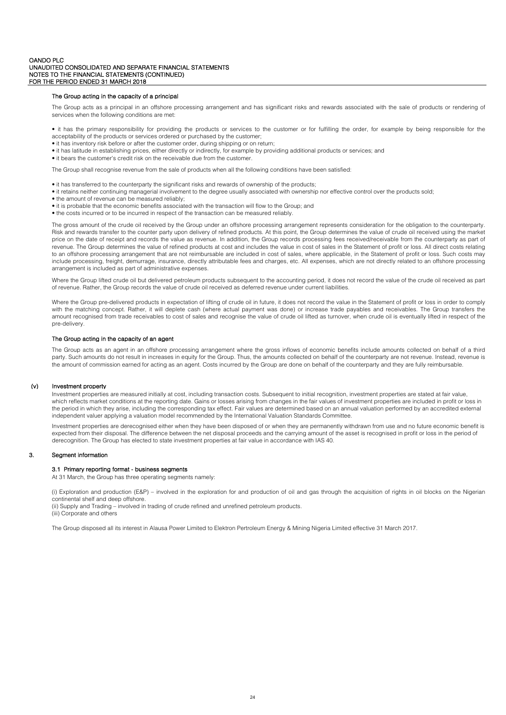#### The Group acting in the capacity of a principal

The Group acts as a principal in an offshore processing arrangement and has significant risks and rewards associated with the sale of products or rendering of services when the following conditions are met:

" it has the primary responsibility for providing the products or services to the customer or for fulfilling the order, for example by being responsible for the acceptability of the products or services ordered or purchased by the customer;

- . it has inventory risk before or after the customer order, during shipping or on return;
- " it has latitude in establishing prices, either directly or indirectly, for example by providing additional products or services; and
- it bears the customer's credit risk on the receivable due from the customer.

The Group shall recognise revenue from the sale of products when all the following conditions have been satisfied:

- " it has transferred to the counterparty the significant risks and rewards of ownership of the products;
- " it retains neither continuing managerial involvement to the degree usually associated with ownership nor effective control over the products sold;
- $\bullet$  the amount of revenue can be measured reliably;
- " it is probable that the economic benefits associated with the transaction will flow to the Group; and
- " the costs incurred or to be incurred in respect of the transaction can be measured reliably.

The gross amount of the crude oil received by the Group under an offshore processing arrangement represents consideration for the obligation to the counterparty. Risk and rewards transfer to the counter party upon delivery of refined products. At this point, the Group determines the value of crude oil received using the market price on the date of receipt and records the value as revenue. In addition, the Group records processing fees received/receivable from the counterparty as part of revenue. The Group determines the value of refined products at cost and includes the value in cost of sales in the Statement of profit or loss. All direct costs relating to an offshore processing arrangement that are not reimbursable are included in cost of sales, where applicable, in the Statement of profit or loss. Such costs may include processing, freight, demurrage, insurance, directly attributable fees and charges, etc. All expenses, which are not directly related to an offshore processing arrangement is included as part of administrative expenses.

Where the Group lifted crude oil but delivered petroleum products subsequent to the accounting period, it does not record the value of the crude oil received as part of revenue. Rather, the Group records the value of crude oil received as deferred revenue under current liabilities.

Where the Group pre-delivered products in expectation of lifting of crude oil in future, it does not record the value in the Statement of profit or loss in order to comply with the matching concept. Rather, it will deplete cash (where actual payment was done) or increase trade payables and receivables. The Group transfers the amount recognised from trade receivables to cost of sales and recognise the value of crude oil lifted as turnover, when crude oil is eventually lifted in respect of the pre-delivery.

## The Group acting in the capacity of an agent

The Group acts as an agent in an offshore processing arrangement where the gross inflows of economic benefits include amounts collected on behalf of a third party. Such amounts do not result in increases in equity for the Group. Thus, the amounts collected on behalf of the counterparty are not revenue. Instead, revenue is the amount of commission earned for acting as an agent. Costs incurred by the Group are done on behalf of the counterparty and they are fully reimbursable.

#### (v) Investment property

Investment properties are measured initially at cost, including transaction costs. Subsequent to initial recognition, investment properties are stated at fair value, which reflects market conditions at the reporting date. Gains or losses arising from changes in the fair values of investment properties are included in profit or loss in the period in which they arise, including the corresponding tax effect. Fair values are determined based on an annual valuation performed by an accredited external independent valuer applying a valuation model recommended by the International Valuation Standards Committee.

Investment properties are derecognised either when they have been disposed of or when they are permanently withdrawn from use and no future economic benefit is expected from their disposal. The difference between the net disposal proceeds and the carrying amount of the asset is recognised in profit or loss in the period of derecognition. The Group has elected to state investment properties at fair value in accordance with IAS 40.

## 3. Segment information

# 3.1 Primary reporting format - business segments

At 31 March, the Group has three operating segments namely:

(i) Exploration and production (E&P) – involved in the exploration for and production of oil and gas through the acquisition of rights in oil blocks on the Nigerian continental shelf and deep offshore.

(ii) Supply and Trading - involved in trading of crude refined and unrefined petroleum products. (iii) Corporate and others

The Group disposed all its interest in Alausa Power Limited to Elektron Pertroleum Energy & Mining Nigeria Limited effective 31 March 2017.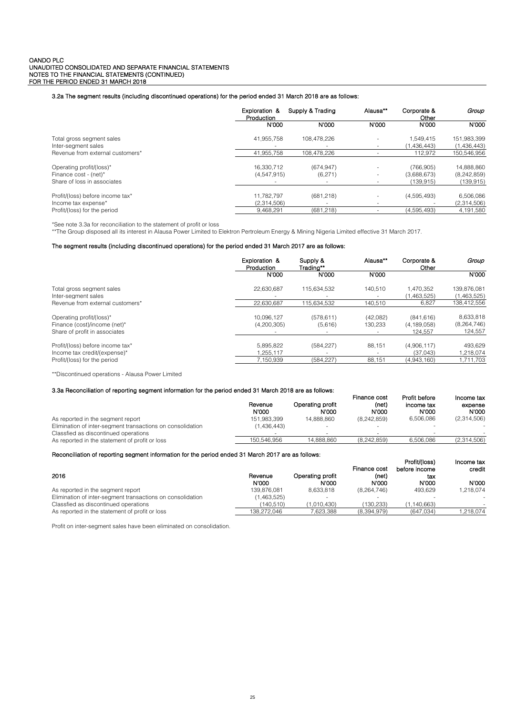# 3.2a The segment results (including discontinued operations) for the period ended 31 March 2018 are as follows:

|                                  | Exploration &<br>Production | Supply & Trading         | Alausa** | Corporate &<br>Other | Group       |
|----------------------------------|-----------------------------|--------------------------|----------|----------------------|-------------|
|                                  | N'000                       | N'000                    | N'000    | N'000                | N'000       |
| Total gross segment sales        | 41.955.758                  | 108.478.226              |          | 1.549.415            | 151,983,399 |
| Inter-segment sales              |                             |                          | ٠        | (1.436.443)          | (1,436,443) |
| Revenue from external customers* | 41.955.758                  | 108.478.226              |          | 112.972              | 150.546.956 |
| Operating profit/(loss)*         | 16.330.712                  | (674.947)                |          | (766.905)            | 14,888,860  |
| Finance cost - (net)*            | (4,547,915)                 | (6,271)                  | ٠        | (3.688.673)          | (8,242,859) |
| Share of loss in associates      |                             | $\overline{\phantom{a}}$ | ٠        | (139.915)            | (139,915)   |
| Profit/(loss) before income tax* | 11.782.797                  | (681, 218)               | ۰        | (4,595,493)          | 6,506,086   |
| Income tax expense*              | (2.314.506)                 | ۰                        | ۰        |                      | (2,314,506) |
| Profit/(loss) for the period     | 9.468.291                   | (681, 218)               |          | (4,595,493)          | 4.191.580   |

\*See note 3.3a for reconciliation to the statement of profit or loss

\*\*The Group disposed all its interest in Alausa Power Limited to Elektron Pertroleum Energy & Mining Nigeria Limited effective 31 March 2017.

# The segment results (including discontinued operations) for the period ended 31 March 2017 are as follows:

|                                  | Exploration &<br>Production | Supply &<br>Trading** | Alausa** | Corporate &<br>Other | Group         |
|----------------------------------|-----------------------------|-----------------------|----------|----------------------|---------------|
|                                  | N'000                       | N'000                 | N'000    |                      | N'000         |
| Total gross segment sales        | 22.630.687                  | 115.634.532           | 140.510  | 1,470,352            | 139,876,081   |
| Inter-segment sales              | $\overline{\phantom{a}}$    |                       | ۰        | (1.463.525)          | (1,463,525)   |
| Revenue from external customers* | 22.630.687                  | 115.634.532           | 140.510  | 6.827                | 138.412.556   |
| Operating profit/(loss)*         | 10.096.127                  | (578.611)             | (42.082) | (841.616)            | 8.633.818     |
| Finance (cost)/income (net)*     | (4,200,305)                 | (5,616)               | 130.233  | (4, 189, 058)        | (8, 264, 746) |
| Share of profit in associates    | $\overline{\phantom{a}}$    |                       | ٠        | 124.557              | 124.557       |
| Profit/(loss) before income tax* | 5.895.822                   | (584, 227)            | 88.151   | (4,906,117)          | 493.629       |
| Income tax credit/(expense)*     | 1.255.117                   |                       |          | (37.043)             | 1.218.074     |
| Profit/(loss) for the period     | 7.150.939                   | (584.227)             | 88.151   | (4,943,160)          | 1,711,703     |

\*\*Discontinued operations - Alausa Power Limited

# 3.3a Reconciliation of reporting segment information for the period ended 31 March 2018 are as follows:

| 3.38 Reconciliation of reporting segment information for the period ended 31 March 2018 are as follows: |                  |                           |                                |                                      |                                       |
|---------------------------------------------------------------------------------------------------------|------------------|---------------------------|--------------------------------|--------------------------------------|---------------------------------------|
|                                                                                                         | Revenue<br>N'000 | Operating profit<br>N'000 | Finance cost<br>(net)<br>N'000 | Profit before<br>income tax<br>N'000 | Income tax<br>expense<br><b>N'000</b> |
| As reported in the segment report                                                                       | 151.983.399      | 14.888.860                | (8.242.859)                    | 6.506.086                            | (2,314,506)                           |
| Elimination of inter-segment transactions on consolidation                                              | (1.436.443)      |                           |                                |                                      |                                       |
| Classfied as discontinued operations                                                                    |                  |                           |                                |                                      |                                       |
| As reported in the statement of profit or loss                                                          | 150.546.956      | 14.888.860                | (8,242,859)                    | 6.506.086                            | (2,314,506)                           |

# Reconciliation of reporting segment information for the period ended 31 March 2017 are as follows:

| 2016                                                       | Revenue     | Operating profit | Finance cost<br>(net) | .<br>before income<br>tax | <br>credit |
|------------------------------------------------------------|-------------|------------------|-----------------------|---------------------------|------------|
|                                                            | N'000       | N'000            | N'000                 | N 000                     | N'000      |
| As reported in the segment report                          | 139.876.081 | 8.633.818        | (8.264.746)           | 493.629                   | 1.218.074  |
| Elimination of inter-segment transactions on consolidation | (1,463,525) |                  |                       |                           |            |
| Classfied as discontinued operations                       | (140.510)   | (1.010.430)      | (130.233)             | .140.663)                 |            |
| As reported in the statement of profit or loss             | 138.272.046 | 7.623.388        | (8.394.979)           | (647.034)                 | 1.218.074  |

Profit/(loss)

Income tax

Profit on inter-segment sales have been eliminated on consolidation.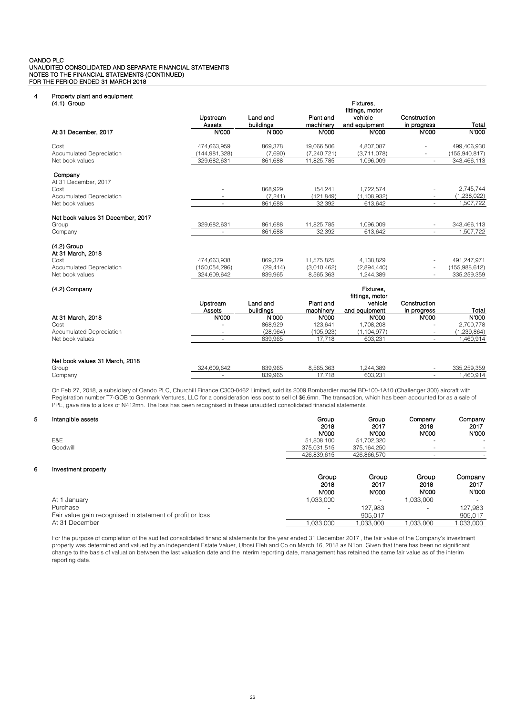# 4 Property plant and equipment

| $(4.1)$ Group                      |                          |                       |                        | Fixtures,<br>fittings, motor |                             |               |
|------------------------------------|--------------------------|-----------------------|------------------------|------------------------------|-----------------------------|---------------|
|                                    | Upstream<br>Assets       | Land and<br>buildings | Plant and<br>machinery | vehicle<br>and equipment     | Construction<br>in progress | Total         |
| At 31 December, 2017               | N'000                    | N'000                 | N'000                  | N'000                        | N'000                       | N'000         |
| Cost                               | 474,663,959              | 869.378               | 19,066,506             | 4,807,087                    | ٠                           | 499,406,930   |
| Accumulated Depreciation           | (144.981.328)            | (7.690)               | (7.240.721)            | (3.711.078)                  | $\overline{\phantom{a}}$    | (155,940,817) |
| Net book values                    | 329,682,631              | 861,688               | 11,825,785             | 1.096.009                    | $\overline{\phantom{a}}$    | 343,466,113   |
| Company<br>At 31 December, 2017    |                          |                       |                        |                              |                             |               |
| Cost                               |                          | 868,929               | 154,241                | 1,722,574                    |                             | 2,745,744     |
| Accumulated Depreciation           |                          | (7, 241)              | (121, 849)             | (1, 108, 932)                | $\overline{\phantom{a}}$    | (1, 238, 022) |
| Net book values                    | $\overline{\phantom{a}}$ | 861,688               | 32,392                 | 613,642                      | $\overline{\phantom{a}}$    | ,507,722      |
| Net book values 31 December, 2017  |                          |                       |                        |                              |                             |               |
| Group                              | 329,682,631              | 861,688               | 11,825,785             | .096.009                     | $\overline{\phantom{a}}$    | 343,466,113   |
| Company                            |                          | 861,688               | 32.392                 | 613,642                      | $\overline{\phantom{a}}$    | 1,507,722     |
| $(4.2)$ Group<br>At 31 March, 2018 |                          |                       |                        |                              |                             |               |
| Cost                               | 474,663,938              | 869,379               | 11,575,825             | 4,138,829                    | $\overline{\phantom{a}}$    | 491,247,971   |
| Accumulated Depreciation           | (150,054,296)            | (29, 414)             | (3,010,462)            | (2,894,440)                  | $\overline{\phantom{a}}$    | (155,988,612) |
| Net book values                    | 324,609,642              | 839,965               | 8,565,363              | 1,244,389                    | $\overline{\phantom{a}}$    | 335,259,359   |
| (4.2) Company                      |                          |                       |                        | Fixtures.<br>fittings, motor |                             |               |

|                          | Upstream<br>Assets | Land and<br>buildings | Plant and<br>machinery | Tituriys, Thotor<br>vehicle<br>and equipment | Construction<br>in progress | Total       |
|--------------------------|--------------------|-----------------------|------------------------|----------------------------------------------|-----------------------------|-------------|
| At 31 March, 2018        | N'000              | N'000                 | N'000                  | N'000                                        | N'000                       | N'000       |
| Cost                     |                    | 868.929               | 123.641                | .708.208                                     |                             | 2.700.778   |
| Accumulated Depreciation |                    | (28.964)              | (105, 923)             | (1, 104, 977)                                |                             | (1,239,864) |
| Net book values          |                    | 839,965               | 17.718                 | 603.231                                      |                             | ,460,914    |

| Net book values 31 March, 2018 |             |         |           |         |             |
|--------------------------------|-------------|---------|-----------|---------|-------------|
| Group                          | 324.609.642 | 839.965 | 3.565.363 | 244.389 | 335.259.359 |
| Company                        |             | 839.965 |           | 603.23  | .460.914    |

On Feb 27, 2018, a subsidiary of Oando PLC, Churchill Finance C300-0462 Limited, sold its 2009 Bombardier model BD-100-1A10 (Challenger 300) aircraft with Registration number T7-GOB to Genmark Ventures, LLC for a consideration less cost to sell of \$6.6mn. The transaction, which has been accounted for as a sale of PPE, gave rise to a loss of N412mn. The loss has been recognised in these unaudited consolidated financial statements.

# 5 Intangible assets Group Group Group Group Group Group Company Company Company

|          | 2018        | 2017        | 2018                     | 2017  |
|----------|-------------|-------------|--------------------------|-------|
|          | N'000       | N'000       | N'000                    | N'000 |
| E&E      | 51.808.100  | 51.702.320  |                          |       |
| Goodwill | 375.031.515 | 375.164.250 | $\overline{\phantom{a}}$ |       |
|          | 426.839.615 | 426.866.570 |                          |       |

# 6 Investment property

|                                                           | Group<br>2018<br>N'000 | Group<br>2017<br>N'000   | Group<br>2018<br>N'000   | Companv<br>2017<br><b>N'000</b> |
|-----------------------------------------------------------|------------------------|--------------------------|--------------------------|---------------------------------|
| At 1 January                                              | 1.033.000              | $\overline{\phantom{0}}$ | 1.033.000                |                                 |
| Purchase                                                  |                        | 127.983                  | $\overline{\phantom{0}}$ | 127.983                         |
| Fair value gain recognised in statement of profit or loss |                        | 905.017                  | $\overline{\phantom{0}}$ | 905.017                         |
| At 31 December                                            | .033.000               | .033.000                 | .033.000                 | .033.000                        |

For the purpose of completion of the audited consolidated financial statements for the year ended 31 December 2017 , the fair value of the Company's investment property was determined and valued by an independent Estate Valuer, Ubosi Eleh and Co on March 16, 2018 as N1bn. Given that there has been no significant change to the basis of valuation between the last valuation date and the interim reporting date, management has retained the same fair value as of the interim reporting date.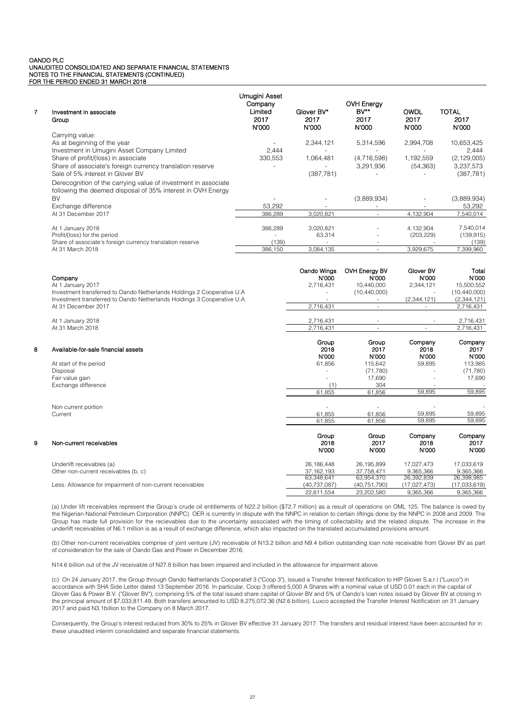|                |                                                                                                                               | Umugini Asset<br>Company |                             | <b>OVH Energy</b>     |                       |                               |
|----------------|-------------------------------------------------------------------------------------------------------------------------------|--------------------------|-----------------------------|-----------------------|-----------------------|-------------------------------|
| $\overline{7}$ | Investment in associate<br>Group                                                                                              | Limited<br>2017<br>N'000 | Glover BV*<br>2017<br>N'000 | BV**<br>2017<br>N'000 | OWDL<br>2017<br>N'000 | <b>TOTAL</b><br>2017<br>N'000 |
|                | Carrying value:                                                                                                               |                          |                             |                       |                       |                               |
|                | As at beginning of the year                                                                                                   |                          | 2,344,121                   | 5,314,596             | 2,994,708             | 10,653,425                    |
|                | Investment in Umugini Asset Company Limited                                                                                   | 2,444                    |                             |                       |                       | 2,444                         |
|                | Share of profit/(loss) in associate                                                                                           | 330.553                  | 1,064,481                   | (4,716,598)           | 1,192,559             | (2, 129, 005)                 |
|                | Share of associate's foreign currency translation reserve                                                                     |                          |                             | 3,291,936             | (54, 363)             | 3,237,573                     |
|                | Sale of 5% interest in Glover BV                                                                                              |                          | (387,781)                   |                       |                       | (387, 781)                    |
|                | Derecognition of the carrying value of investment in associate<br>following the deemed disposal of 35% interest in OVH Energy |                          |                             |                       |                       |                               |
|                | <b>BV</b>                                                                                                                     |                          |                             | (3,889,934)           |                       | (3,889,934)                   |
|                | Exchange difference                                                                                                           | 53,292                   |                             |                       |                       | 53,292                        |
|                | At 31 December 2017                                                                                                           | 386,289                  | 3,020,821                   |                       | 4,132,904             | 7,540,014                     |
|                | At 1 January 2018                                                                                                             | 386,289                  | 3,020,821                   |                       | 4,132,904             | 7,540,014                     |
|                | Profit/(loss) for the period                                                                                                  |                          | 63,314                      |                       | (203, 229)            | (139, 915)                    |
|                | Share of associate's foreign currency translation reserve                                                                     | (139)                    |                             |                       |                       | (139)                         |
|                | At 31 March 2018                                                                                                              | 386,150                  | 3,084,135                   |                       | 3,929,675             | 7,399,960                     |

|   | Company                                                                 | Oando Wings<br>N'000 | OVH Energy BV<br>N'000   | Glover BV<br>N'000 | Total<br>N'000 |
|---|-------------------------------------------------------------------------|----------------------|--------------------------|--------------------|----------------|
|   | At 1 January 2017                                                       | 2.716.431            | 10.440.000               | 2,344,121          | 15,500,552     |
|   | Investment transferred to Oando Netherlands Holdings 2 Cooperative U.A. |                      | (10, 440, 000)           |                    | (10, 440, 000) |
|   | Investment transferred to Oando Netherlands Holdings 3 Cooperative U.A  |                      | $\overline{\phantom{a}}$ | (2,344,121)        | (2,344,121)    |
|   | At 31 December 2017                                                     | 2,716,431            |                          |                    | 2,716,431      |
|   | At 1 January 2018                                                       | 2.716.431            | $\overline{\phantom{a}}$ |                    | 2,716,431      |
|   | At 31 March 2018                                                        | 2,716,431            |                          |                    | 2,716,431      |
|   |                                                                         | Group                | Group                    | Company            | Company        |
| 8 | Available-for-sale financial assets                                     | 2018                 | 2017                     | 2018               | 2017           |
|   |                                                                         | N'000                | N'000                    | N'000              | N'000          |
|   | At start of the period                                                  | 61.856               | 115.642                  | 59.895             | 113,985        |
|   | Disposal                                                                |                      | (71,780)                 |                    | (71,780)       |
|   | Fair value gain                                                         |                      | 17.690                   |                    | 17,690         |
|   | Exchange difference                                                     | (1)                  | 304                      |                    |                |
|   |                                                                         | 61.855               | 61.856                   | 59,895             | 59,895         |
|   | Non current portion                                                     |                      |                          |                    |                |
|   | Current                                                                 | 61,855               | 61,856                   | 59,895             | 59,895         |
|   |                                                                         | 61.855               | 61.856                   | 59.895             | 59.895         |
|   |                                                                         | Group                | Group                    | Company            | Company        |
| 9 | Non-current receivables                                                 | 2018                 | 2017                     | 2018               | 2017           |
|   |                                                                         | N'000                | N'000                    | N'000              | N'000          |
|   | Underlift receivables (a)                                               | 26,186,448           | 26,195,899               | 17,027,473         | 17,033,619     |
|   | Other non-current receivables (b, c)                                    | 37,162,193           | 37.758.471               | 9.365.366          | 9.365.366      |
|   |                                                                         | 63.348.641           | 63,954,370               | 26,392,839         | 26,398,985     |
|   | Less: Allowance for impairment of non-current receivables               | (40, 737, 087)       | (40, 751, 790)           | (17, 027, 473)     | (17,033,619)   |
|   |                                                                         | 22.611.554           | 23.202.580               | 9.365.366          | 9.365.366      |

(a) Under lift receivables represent the Group's crude oil entitlements of N22.2 billion (\$72.7 million) as a result of operations on OML 125. The balance is owed by the Nigerian National Petroleum Corporation (NNPC). OER is currently in dispute with the NNPC in relation to certain liftings done by the NNPC in 2008 and 2009. The Group has made full provision for the recievables due to the uncertainty associated with the timing of collectability and the related dispute. The increase in the underlift receivables of N6.1 million is as a result of exchange difference, which also impacted on the translated accumulated provisions amount.

(b) Other non-current receivables comprise of joint venture (JV) receivable of N13.2 billion and N9.4 billion outstanding loan note receivable from Glover BV as part of consideration for the sale of Oando Gas and Power in December 2016.

N14.6 billion out of the JV receivable of N27.8 billion has been impaired and included in the alllowance for impairment above.

(c) On 24 January 2017, the Group through Oando Netherlands Cooperatief 3 ("Coop 3"), issued a Transfer Interest Notification to HIP Glover S.a.r.l ("Luxco") in accordance with SHA Side Letter dated 13 September 2016. In particular, Coop 3 offered 5,000 A Shares with a nominal value of USD 0.01 each in the capital of Glover Gas & Power B.V. ("Glover BV"), comprising 5% of the total issued share capital of Glover BV and 5% of Oando's loan notes issued by Glover BV at closing in the principal amount of \$7,033,811.49. Both transfers amounted to USD 8,275,072.36 (N2.6 billion). Luxco accepted the Transfer Interest Notification on 31 January 2017 and paid N3.1billion to the Company on 8 March 2017.

Consequently, the Group's interest reduced from 30% to 25% in Glover BV effective 31 January 2017. The transfers and residual interest have been accounted for in these unaudited interim consolidated and separate financial statements.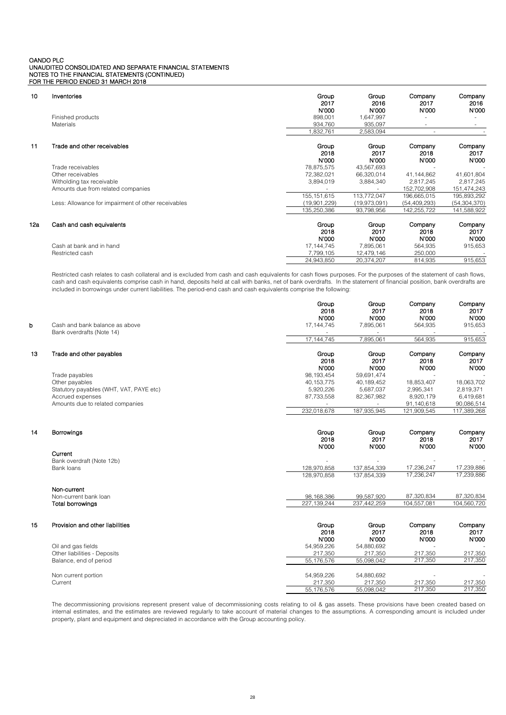| 10  | Inventories                                         | Group<br>2017 | Group<br>2016 | Company<br>2017          | Company<br>2016 |
|-----|-----------------------------------------------------|---------------|---------------|--------------------------|-----------------|
|     |                                                     | N'000         | N'000         | N'000                    | N'000           |
|     | Finished products                                   | 898,001       | 1,647,997     |                          |                 |
|     | Materials                                           | 934,760       | 935,097       |                          |                 |
|     |                                                     | 1,832,761     | 2,583,094     | $\overline{\phantom{a}}$ |                 |
| 11  | Trade and other receivables                         | Group         | Group         | Company                  | Company         |
|     |                                                     | 2018          | 2017          | 2018                     | 2017            |
|     |                                                     | N'000         | N'000         | N'000                    | N'000           |
|     | Trade receivables                                   | 78,875,575    | 43,567,693    |                          |                 |
|     | Other receivables                                   | 72,382,021    | 66,320,014    | 41,144,862               | 41,601,804      |
|     | Witholding tax receivable                           | 3,894,019     | 3,884,340     | 2,817,245                | 2,817,245       |
|     | Amounts due from related companies                  |               |               | 152.702.908              | 151,474,243     |
|     |                                                     | 155, 151, 615 | 113,772,047   | 196,665,015              | 195,893,292     |
|     | Less: Allowance for impairment of other receivables | (19,901,229)  | (19,973,091)  | (54, 409, 293)           | (54, 304, 370)  |
|     |                                                     | 135,250,386   | 93,798,956    | 142,255,722              | 141,588,922     |
| 12a | Cash and cash equivalents                           | Group         | Group         | Company                  | Company         |
|     |                                                     | 2018          | 2017          | 2018                     | 2017            |
|     |                                                     | N'000         | N'000         | N'000                    | N'000           |
|     | Cash at bank and in hand                            | 17,144,745    | 7,895,061     | 564,935                  | 915,653         |
|     | Restricted cash                                     | 7.799.105     | 12,479,146    | 250,000                  |                 |
|     |                                                     | 24.943.850    | 20,374,207    | 814,935                  | 915,653         |

Restricted cash relates to cash collateral and is excluded from cash and cash equivalents for cash flows purposes. For the purposes of the statement of cash flows, cash and cash equivalents comprise cash in hand, deposits held at call with banks, net of bank overdrafts. In the statement of financial position, bank overdrafts are included in borrowings under current liabilities. The period-end cash and cash equivalents comprise the following:

|    |                                         | Group<br>2018<br>N'000 | Group<br>2017<br>N'000 | Company<br>2018<br>N'000 | Company<br>2017<br>N'000 |
|----|-----------------------------------------|------------------------|------------------------|--------------------------|--------------------------|
| b  | Cash and bank balance as above          | 17.144.745             | 7,895,061              | 564,935                  | 915,653                  |
|    | Bank overdrafts (Note 14)               |                        |                        |                          |                          |
|    |                                         | 17.144.745             | 7.895.061              | 564.935                  | 915,653                  |
| 13 | Trade and other pavables                | Group<br>2018<br>N'000 | Group<br>2017<br>N'000 | Company<br>2018<br>N'000 | Company<br>2017<br>N'000 |
|    | Trade payables                          | 98.193.454             | 59.691.474             | ٠                        |                          |
|    | Other payables                          | 40.153.775             | 40.189.452             | 18.853.407               | 18,063,702               |
|    | Statutory payables (WHT, VAT, PAYE etc) | 5.920.226              | 5.687.037              | 2.995.341                | 2.819.371                |
|    | Accrued expenses                        | 87.733.558             | 82.367.982             | 8.920.179                | 6,419,681                |
|    | Amounts due to related companies        |                        |                        | 91.140.618               | 90.086.514               |
|    |                                         | 232.018.678            | 187.935.945            | 121.909.545              | 117.389.268              |
|    |                                         |                        |                        |                          |                          |

| 14 | <b>Borrowings</b>               | Group<br>2018<br>N'000 | Group<br>2017<br>N'000 | Company<br>2018<br>N'000 | Company<br>2017<br>N'000 |
|----|---------------------------------|------------------------|------------------------|--------------------------|--------------------------|
|    | Current                         |                        |                        |                          |                          |
|    | Bank overdraft (Note 12b)       |                        |                        |                          |                          |
|    | Bank loans                      | 128,970,858            | 137.854.339            | 17,236,247               | 17,239,886               |
|    |                                 | 128,970,858            | 137,854,339            | 17,236,247               | 17,239,886               |
|    | Non-current                     |                        |                        |                          |                          |
|    | Non-current bank loan           | 98,168,386             | 99,587,920             | 87,320,834               | 87,320,834               |
|    | <b>Total borrowings</b>         | 227, 139, 244          | 237,442,259            | 104,557,081              | 104,560,720              |
| 15 | Provision and other liabilities | Group<br>2018          | Group<br>2017          | Company<br>2018          | Company<br>2017          |
|    |                                 | N'000                  | N'000                  | N'000                    | N'000                    |
|    | Oil and gas fields              | 54,959,226             | 54,880,692             |                          |                          |
|    | Other liabilities - Deposits    | 217,350                | 217.350                | 217,350                  | 217,350                  |
|    | Balance, end of period          | 55,176,576             | 55,098,042             | 217,350                  | 217,350                  |
|    | Non current portion             | 54,959,226             | 54,880,692             |                          |                          |
|    | Current                         | 217.350                | 217.350                | 217,350                  | 217,350                  |
|    |                                 | 55,176,576             | 55,098,042             | 217,350                  | 217,350                  |

The decommissioning provisions represent present value of decommissioning costs relating to oil & gas assets. These provisions have been created based on internal estimates, and the estimates are reviewed regularly to take account of material changes to the assumptions. A corresponding amount is included under property, plant and equipment and depreciated in accordance with the Group accounting policy.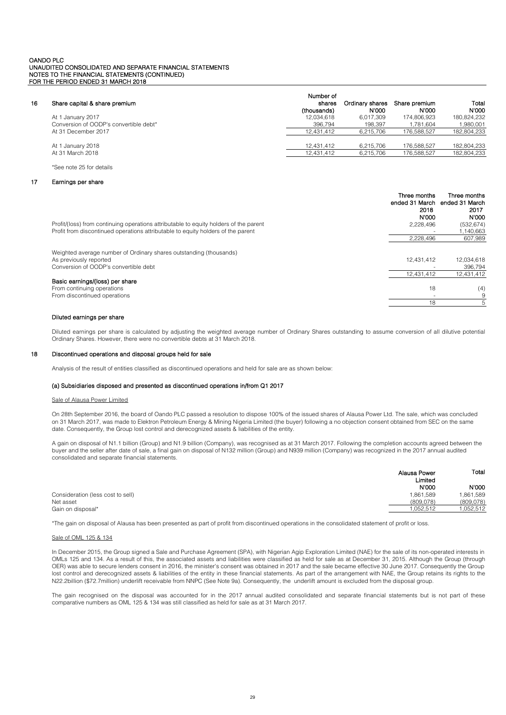| 16 | Share capital & share premium          | Number of<br>shares<br>(thousands) | Ordinary shares<br>N'000 | Share premium<br>N'000 | Total<br>N'000 |
|----|----------------------------------------|------------------------------------|--------------------------|------------------------|----------------|
|    | At 1 January 2017                      | 12.034.618                         | 6.017.309                | 174.806.923            | 180.824.232    |
|    | Conversion of OODP's convertible debt* | 396.794                            | 198.397                  | 1.781.604              | 1.980.001      |
|    | At 31 December 2017                    | 12.431.412                         | 6.215.706                | 176.588.527            | 182,804,233    |
|    | At 1 January 2018                      | 12.431.412                         | 6.215.706                | 176.588.527            | 182.804.233    |
|    | At 31 March 2018                       | 12,431,412                         | 6.215.706                | 176.588.527            | 182,804,233    |
|    |                                        |                                    |                          |                        |                |

\*See note 25 for details

# 17 Earnings per share

|                                                                                                                                       | Three months<br>ended 31 March<br>2018 | Three months<br>ended 31 March<br>2017 |
|---------------------------------------------------------------------------------------------------------------------------------------|----------------------------------------|----------------------------------------|
|                                                                                                                                       | N'000                                  | N'000                                  |
| Profit/(loss) from continuing operations attributable to equity holders of the parent                                                 | 2,228,496                              | (532, 674)                             |
| Profit from discontinued operations attributable to equity holders of the parent                                                      |                                        | 1.140.663                              |
|                                                                                                                                       | 2,228,496                              | 607,989                                |
| Weighted average number of Ordinary shares outstanding (thousands)<br>As previously reported<br>Conversion of OODP's convertible debt | 12,431,412                             | 12,034,618<br>396.794                  |
|                                                                                                                                       | 12.431.412                             | 12,431,412                             |
| Basic earnings/(loss) per share<br>From continuing operations<br>From discontinued operations                                         | 18<br>18                               | (4)<br>5                               |

#### Diluted earnings per share

Diluted earnings per share is calculated by adjusting the weighted average number of Ordinary Shares outstanding to assume conversion of all dilutive potential Ordinary Shares. However, there were no convertible debts at 31 March 2018.

#### 18 Discontinued operations and disposal groups held for sale

Analysis of the result of entities classified as discontinued operations and held for sale are as shown below:

# (a) Subsidiaries disposed and presented as discontinued operations in/from Q1 2017

#### Sale of Alausa Power Limited

On 28th September 2016, the board of Oando PLC passed a resolution to dispose 100% of the issued shares of Alausa Power Ltd. The sale, which was concluded on 31 March 2017, was made to Elektron Petroleum Energy & Mining Nigeria Limited (the buyer) following a no objection consent obtained from SEC on the same date. Consequently, the Group lost control and derecognized assets & liabilities of the entity.

A gain on disposal of N1.1 billion (Group) and N1.9 billion (Company), was recognised as at 31 March 2017. Following the completion accounts agreed between the buyer and the seller after date of sale, a final gain on disposal of N132 million (Group) and N939 million (Company) was recognized in the 2017 annual audited consolidated and separate financial statements.

|                                   | Alausa Power | Total      |  |
|-----------------------------------|--------------|------------|--|
|                                   | Limited      |            |  |
|                                   | N'000        | N'000      |  |
| Consideration (less cost to sell) | 861.589      | .861.589   |  |
| Net asset                         | (809.078)    | (809, 078) |  |
| Gain on disposal*                 | 1.052.512    | .052.512   |  |

\*The gain on disposal of Alausa has been presented as part of profit from discontinued operations in the consolidated statement of profit or loss.

#### Sale of OML 125 & 134

In December 2015, the Group signed a Sale and Purchase Agreement (SPA), with Nigerian Agip Exploration Limited (NAE) for the sale of its non-operated interests in OMLs 125 and 134. As a result of this, the associated assets and liabilities were classified as held for sale as at December 31, 2015. Although the Group (through OER) was able to secure lenders consent in 2016, the minister's consent was obtained in 2017 and the sale became effective 30 June 2017. Consequently the Group lost control and derecognized assets & liabilities of the entity in these financial statements. As part of the arrangement with NAE, the Group retains its rights to the N22.2billion (\$72.7million) underlift receivable from NNPC (See Note 9a). Consequently, the underlift amount is excluded from the disposal group.

The gain recognised on the disposal was accounted for in the 2017 annual audited consolidated and separate financial statements but is not part of these comparative numbers as OML 125 & 134 was still classified as held for sale as at 31 March 2017.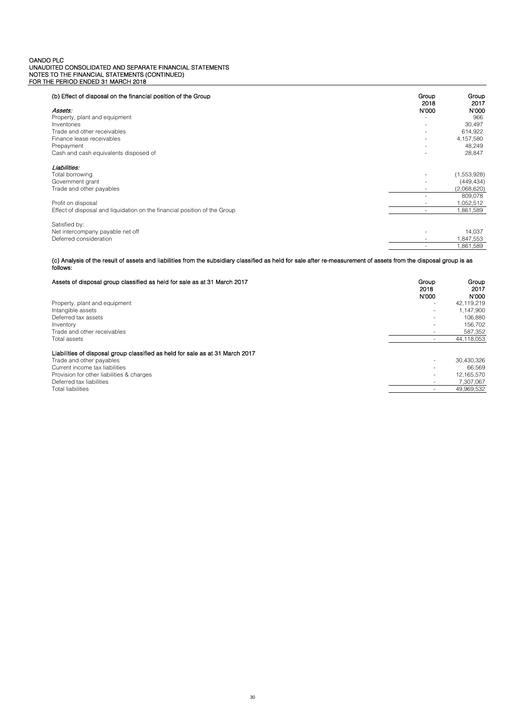| (b) Effect of disposal on the financial position of the Group             | Group<br>2018            | Group<br>2017 |
|---------------------------------------------------------------------------|--------------------------|---------------|
| Assets:                                                                   | N'000                    | N'000         |
| Property, plant and equipment                                             | $\overline{\phantom{a}}$ | 966           |
| Inventories                                                               | $\overline{\phantom{a}}$ | 30,497        |
| Trade and other receivables                                               | $\overline{\phantom{a}}$ | 614,922       |
| Finance lease receivables                                                 | $\overline{\phantom{a}}$ | 4,157,580     |
| Prepayment                                                                | ٠                        | 48,249        |
| Cash and cash equivalents disposed of                                     | $\overline{\phantom{a}}$ | 28,847        |
| Liabilities:                                                              |                          |               |
| Total borrowing                                                           | ٠                        | (1,553,928)   |
| Government grant                                                          | $\overline{\phantom{a}}$ | (449, 434)    |
| Trade and other payables                                                  | $\overline{\phantom{a}}$ | (2,068,620)   |
|                                                                           |                          | 809,078       |
| Profit on disposal                                                        |                          | 1,052,512     |
| Effect of disposal and liquidation on the financial position of the Group | $\overline{\phantom{a}}$ | ,861,589      |
| Satisfied by:                                                             |                          |               |
| Net intercompany payable net off                                          |                          | 14,037        |
| Deferred consideration                                                    |                          | 1,847,553     |
|                                                                           |                          | 1,861,589     |

#### (c) Analysis of the result of assets and liabilities from the subsidiary classified as held for sale after re-measurement of assets from the disposal group is as follows:

| Assets of disposal group classified as held for sale as at 31 March 2017      | Group<br>2018<br>N'000 | Group<br>2017<br>N'000 |
|-------------------------------------------------------------------------------|------------------------|------------------------|
| Property, plant and equipment                                                 | ٠                      | 42.119.219             |
| Intangible assets                                                             |                        | 1.147.900              |
| Deferred tax assets                                                           | ۰                      | 106.880                |
| Inventory                                                                     | ۰                      | 156.702                |
| Trade and other receivables                                                   |                        | 587.352                |
| Total assets                                                                  |                        | 44,118,053             |
| Liabilities of disposal group classified as held for sale as at 31 March 2017 |                        |                        |
| Trade and other payables                                                      | ۰                      | 30,430,326             |
| Current income tax liabilities                                                | ۰                      | 66.569                 |
| Provision for other liabilities & charges                                     | ۰                      | 12.165.570             |
| Deferred tax liabilities                                                      | ۰                      | 7.307.067              |
| <b>Total liabilities</b>                                                      | ۰                      | 49.969.532             |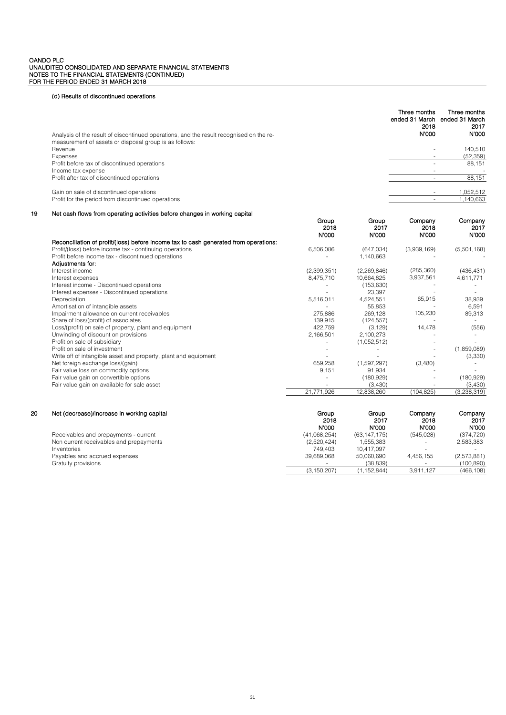# (d) Results of discontinued operations

| Analysis of the result of discontinued operations, and the result recognised on the re-<br>measurement of assets or disposal group is as follows: | Three months<br>2018<br>N'000 | Three months<br>ended 31 March ended 31 March<br>2017<br>N'000 |
|---------------------------------------------------------------------------------------------------------------------------------------------------|-------------------------------|----------------------------------------------------------------|
| Revenue                                                                                                                                           |                               | 140.510                                                        |
|                                                                                                                                                   |                               |                                                                |
| <b>Expenses</b>                                                                                                                                   |                               | (52, 359)                                                      |
| Profit before tax of discontinued operations                                                                                                      |                               | 88.151                                                         |
| Income tax expense                                                                                                                                |                               |                                                                |
| Profit after tax of discontinued operations                                                                                                       |                               | 88,151                                                         |
| Gain on sale of discontinued operations                                                                                                           |                               | 1,052,512                                                      |
| Profit for the period from discontinued operations                                                                                                |                               | 1.140.663                                                      |

# 19 Net cash flows from operating activities before changes in working capital

|                                                                                      | Group<br>2018<br>N'000 | Group<br>2017<br>N'000 | Company<br>2018<br>N'000 | Company<br>2017<br>N'000 |
|--------------------------------------------------------------------------------------|------------------------|------------------------|--------------------------|--------------------------|
| Reconciliation of profit/(loss) before income tax to cash generated from operations: |                        |                        |                          |                          |
| Profit/(loss) before income tax - continuing operations                              | 6,506,086              | (647, 034)             | (3,939,169)              | (5,501,168)              |
| Profit before income tax - discontinued operations                                   |                        | 1,140,663              |                          |                          |
| Adiustments for:                                                                     |                        |                        |                          |                          |
| Interest income                                                                      | (2,399,351)            | (2,269,846)            | (285, 360)               | (436, 431)               |
| Interest expenses                                                                    | 8,475,710              | 10,664,825             | 3,937,561                | 4,611,771                |
| Interest income - Discontinued operations                                            |                        | (153, 630)             |                          |                          |
| Interest expenses - Discontinued operations                                          |                        | 23.397                 |                          |                          |
| Depreciation                                                                         | 5,516,011              | 4,524,551              | 65,915                   | 38,939                   |
| Amortisation of intangible assets                                                    |                        | 55.853                 |                          | 6,591                    |
| Impairment allowance on current receivables                                          | 275,886                | 269.128                | 105,230                  | 89,313                   |
| Share of loss/(profit) of associates                                                 | 139.915                | (124, 557)             |                          |                          |
| Loss/(profit) on sale of property, plant and equipment                               | 422,759                | (3, 129)               | 14,478                   | (556)                    |
| Unwinding of discount on provisions                                                  | 2,166,501              | 2,100,273              |                          |                          |
| Profit on sale of subsidiary                                                         |                        | (1,052,512)            |                          |                          |
| Profit on sale of investment                                                         |                        |                        |                          | (1,859,089)              |
| Write off of intangible asset and property, plant and equipment                      |                        |                        |                          | (3,330)                  |
| Net foreign exchange loss/(gain)                                                     | 659,258                | (1,597,297)            | (3,480)                  |                          |
| Fair value loss on commodity options                                                 | 9,151                  | 91,934                 |                          |                          |
| Fair value gain on convertible options                                               |                        | (180, 929)             |                          | (180, 929)               |
| Fair value gain on available for sale asset                                          |                        | (3,430)                |                          | (3,430)                  |
|                                                                                      | 21,771,926             | 12,838,260             | (104, 825)               | (3, 238, 319)            |

| 20 | Net (decrease)/increase in working capital | Group<br>2018<br>N'000 | Group<br>2017<br><b>N'000</b> | Companv<br>2018<br>N'000 | Company<br>2017<br>N'000 |
|----|--------------------------------------------|------------------------|-------------------------------|--------------------------|--------------------------|
|    | Receivables and prepayments - current      | (41.068.254)           | (63, 147, 175)                | (545.028)                | (374, 720)               |
|    | Non current receivables and prepayments    | (2,520,424)            | 1.555.383                     |                          | 2.583.383                |
|    | Inventories                                | 749.403                | 10.417.097                    |                          |                          |
|    | Payables and accrued expenses              | 39.689.068             | 50.060.690                    | 4.456.155                | (2,573,881)              |
|    | Gratuity provisions                        |                        | (38.839)                      |                          | (100, 890)               |
|    |                                            | (3, 150, 207)          | (1.152.844)                   | 3.911.127                | (466.108)                |